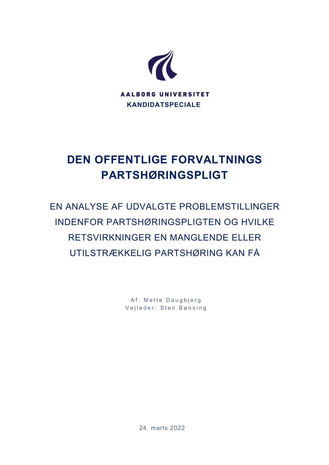

# **DEN OFFENTLIGE FORVALTNINGS PARTSHØRINGSPLIGT**

EN ANALYSE AF UDVALGTE PROBLEMSTILLINGER INDENFOR PARTSHØRINGSPLIGTEN OG HVILKE RETSVIRKNINGER EN MANGLENDE ELLER UTILSTRÆKKELIG PARTSHØRING KAN FÅ

> Af: Mette Daugbjerg Vejleder: Sten Bønsing

> > 24. marts 2022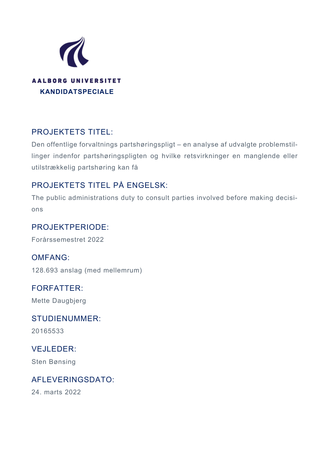

## PROJEKTETS TITEL:

Den offentlige forvaltnings partshøringspligt – en analyse af udvalgte problemstillinger indenfor partshøringspligten og hvilke retsvirkninger en manglende eller utilstrækkelig partshøring kan få

## PROJEKTETS TITEL PÅ ENGELSK:

The public administrations duty to consult parties involved before making decisions

### PROJEKTPERIODE:

Forårssemestret 2022

OMFANG: 128.693 anslag (med mellemrum)

## FORFATTER:

Mette Daugbjerg

## STUDIENUMMER:

20165533

## VEJLEDER:

Sten Bønsing

### AFLEVERINGSDATO:

24. marts 2022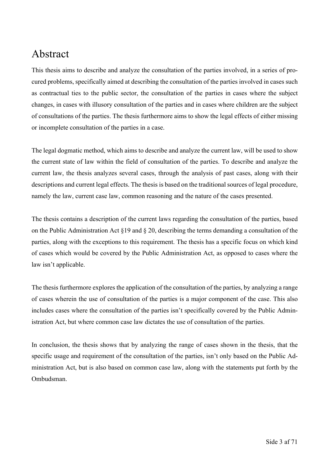## Abstract

This thesis aims to describe and analyze the consultation of the parties involved, in a series of procured problems, specifically aimed at describing the consultation of the parties involved in cases such as contractual ties to the public sector, the consultation of the parties in cases where the subject changes, in cases with illusory consultation of the parties and in cases where children are the subject of consultations of the parties. The thesis furthermore aims to show the legal effects of either missing or incomplete consultation of the parties in a case.

The legal dogmatic method, which aims to describe and analyze the current law, will be used to show the current state of law within the field of consultation of the parties. To describe and analyze the current law, the thesis analyzes several cases, through the analysis of past cases, along with their descriptions and current legal effects. The thesis is based on the traditional sources of legal procedure, namely the law, current case law, common reasoning and the nature of the cases presented.

The thesis contains a description of the current laws regarding the consultation of the parties, based on the Public Administration Act §19 and § 20, describing the terms demanding a consultation of the parties, along with the exceptions to this requirement. The thesis has a specific focus on which kind of cases which would be covered by the Public Administration Act, as opposed to cases where the law isn't applicable.

The thesis furthermore explores the application of the consultation of the parties, by analyzing a range of cases wherein the use of consultation of the parties is a major component of the case. This also includes cases where the consultation of the parties isn't specifically covered by the Public Administration Act, but where common case law dictates the use of consultation of the parties.

In conclusion, the thesis shows that by analyzing the range of cases shown in the thesis, that the specific usage and requirement of the consultation of the parties, isn't only based on the Public Administration Act, but is also based on common case law, along with the statements put forth by the Ombudsman.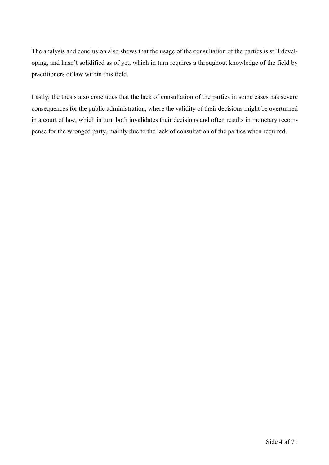The analysis and conclusion also shows that the usage of the consultation of the parties is still developing, and hasn't solidified as of yet, which in turn requires a throughout knowledge of the field by practitioners of law within this field.

Lastly, the thesis also concludes that the lack of consultation of the parties in some cases has severe consequences for the public administration, where the validity of their decisions might be overturned in a court of law, which in turn both invalidates their decisions and often results in monetary recompense for the wronged party, mainly due to the lack of consultation of the parties when required.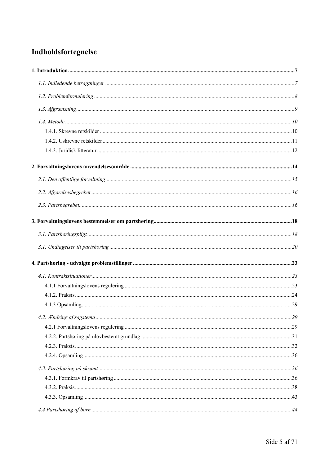## Indholdsfortegnelse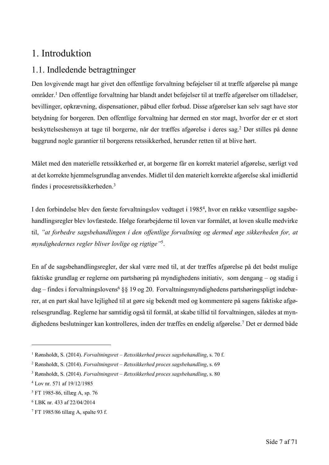## 1. Introduktion

## 1.1. Indledende betragtninger

Den lovgivende magt har givet den offentlige forvaltning beføjelser til at træffe afgørelse på mange områder. <sup>1</sup> Den offentlige forvaltning har blandt andet beføjelser til at træffe afgørelser om tilladelser, bevillinger, opkrævning, dispensationer, påbud eller forbud. Disse afgørelser kan selv sagt have stor betydning for borgeren. Den offentlige forvaltning har dermed en stor magt, hvorfor der er et stort beskyttelseshensyn at tage til borgerne, når der træffes afgørelse i deres sag.2 Der stilles på denne baggrund nogle garantier til borgerens retssikkerhed, herunder retten til at blive hørt.

Målet med den materielle retssikkerhed er, at borgerne får en korrekt materiel afgørelse, særligt ved at det korrekte hjemmelsgrundlag anvendes. Midlet til den materielt korrekte afgørelse skal imidlertid findes i procesretssikkerheden.3

I den forbindelse blev den første forvaltningslov vedtaget i 1985<sup>4</sup>, hvor en række væsentlige sagsbehandlingsregler blev lovfæstede. Ifølge forarbejderne til loven var formålet, at loven skulle medvirke til, *"at forbedre sagsbehandlingen i den offentlige forvaltning og dermed øge sikkerheden for, at myndighedernes regler bliver lovlige og rigtige"*5.

En af de sagsbehandlingsregler, der skal være med til, at der træffes afgørelse på det bedst mulige faktiske grundlag er reglerne om partshøring på myndighedens initiativ, som dengang – og stadig i dag – findes i forvaltningslovens<sup>6</sup> §§ 19 og 20. Forvaltningsmyndighedens partshøringspligt indebærer, at en part skal have lejlighed til at gøre sig bekendt med og kommentere på sagens faktiske afgørelsesgrundlag. Reglerne har samtidig også til formål, at skabe tillid til forvaltningen, således at myndighedens beslutninger kan kontrolleres, inden der træffes en endelig afgørelse. <sup>7</sup> Det er dermed både

<sup>1</sup> Rønsholdt, S. (2014). *Forvaltningsret – Retssikkerhed proces sagsbehandling*, s. 70 f.

<sup>2</sup> Rønsholdt, S. (2014). *Forvaltningsret – Retssikkerhed proces sagsbehandling*, s. 69

<sup>3</sup> Rønsholdt, S. (2014). *Forvaltningsret – Retssikkerhed proces sagsbehandling*, s. 80

<sup>4</sup> Lov nr. 571 af 19/12/1985

<sup>5</sup> FT 1985-86, tillæg A, sp. 76

<sup>6</sup> LBK nr. 433 af 22/04/2014

<sup>7</sup> FT 1985/86 tillæg A, spalte 93 f.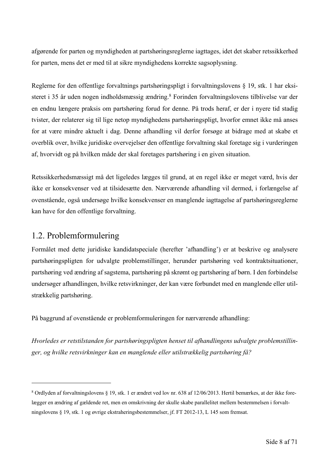afgørende for parten og myndigheden at partshøringsreglerne iagttages, idet det skaber retssikkerhed for parten, mens det er med til at sikre myndighedens korrekte sagsoplysning.

Reglerne for den offentlige forvaltnings partshøringspligt i forvaltningslovens § 19, stk. 1 har eksisteret i 35 år uden nogen indholdsmæssig ændring.8 Forinden forvaltningslovens tilblivelse var der en endnu længere praksis om partshøring forud for denne. På trods heraf, er der i nyere tid stadig tvister, der relaterer sig til lige netop myndighedens partshøringspligt, hvorfor emnet ikke må anses for at være mindre aktuelt i dag. Denne afhandling vil derfor forsøge at bidrage med at skabe et overblik over, hvilke juridiske overvejelser den offentlige forvaltning skal foretage sig i vurderingen af, hvorvidt og på hvilken måde der skal foretages partshøring i en given situation.

Retssikkerhedsmæssigt må det ligeledes lægges til grund, at en regel ikke er meget værd, hvis der ikke er konsekvenser ved at tilsidesætte den. Nærværende afhandling vil dermed, i forlængelse af ovenstående, også undersøge hvilke konsekvenser en manglende iagttagelse af partshøringsreglerne kan have for den offentlige forvaltning.

### 1.2. Problemformulering

Formålet med dette juridiske kandidatspeciale (herefter 'afhandling') er at beskrive og analysere partshøringspligten for udvalgte problemstillinger, herunder partshøring ved kontraktsituationer, partshøring ved ændring af sagstema, partshøring på skrømt og partshøring af børn. I den forbindelse undersøger afhandlingen, hvilke retsvirkninger, der kan være forbundet med en manglende eller utilstrækkelig partshøring.

På baggrund af ovenstående er problemformuleringen for nærværende afhandling:

*Hvorledes er retstilstanden for partshøringspligten henset til afhandlingens udvalgte problemstillinger, og hvilke retsvirkninger kan en manglende eller utilstrækkelig partshøring få?*

<sup>8</sup> Ordlyden af forvaltningslovens § 19, stk. 1 er ændret ved lov nr. 638 af 12/06/2013. Hertil bemærkes, at der ikke forelægger en ændring af gældende ret, men en omskrivning der skulle skabe parallelitet mellem bestemmelsen i forvaltningslovens § 19, stk. 1 og øvrige ekstraheringsbestemmelser, jf. FT 2012-13, L 145 som fremsat.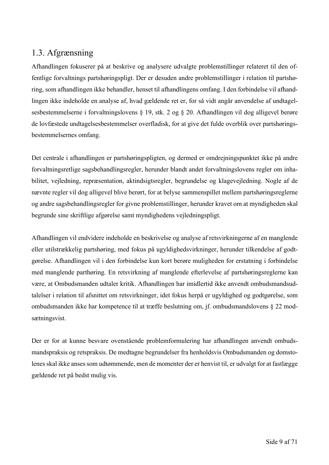## 1.3. Afgrænsning

Afhandlingen fokuserer på at beskrive og analysere udvalgte problemstillinger relateret til den offentlige forvaltnings partshøringspligt. Der er desuden andre problemstillinger i relation til partshøring, som afhandlingen ikke behandler, henset til afhandlingens omfang. I den forbindelse vil afhandlingen ikke indeholde en analyse af, hvad gældende ret er, for så vidt angår anvendelse af undtagelsesbestemmelserne i forvaltningslovens § 19, stk. 2 og § 20. Afhandlingen vil dog alligevel berøre de lovfæstede undtagelsesbestemmelser overfladisk, for at give det fulde overblik over partshøringsbestemmelsernes omfang.

Det centrale i afhandlingen er partshøringspligten, og dermed er omdrejningspunktet ikke på andre forvaltningsretlige sagsbehandlingsregler, herunder blandt andet forvaltningslovens regler om inhabilitet, vejledning, repræsentation, aktindsigtsregler, begrundelse og klagevejledning. Nogle af de nævnte regler vil dog alligevel blive berørt, for at belyse sammenspillet mellem partshøringsreglerne og andre sagsbehandlingsregler for givne problemstillinger, herunder kravet om at myndigheden skal begrunde sine skriftlige afgørelse samt myndighedens vejledningspligt.

Afhandlingen vil endvidere indeholde en beskrivelse og analyse af retsvirkningerne af en manglende eller utilstrækkelig partshøring, med fokus på ugyldighedsvirkninger, herunder tilkendelse af godtgørelse. Afhandlingen vil i den forbindelse kun kort berøre muligheden for erstatning i forbindelse med manglende parthøring. En retsvirkning af manglende efterlevelse af partshøringsreglerne kan være, at Ombudsmanden udtaler kritik. Afhandlingen har imidlertid ikke anvendt ombudsmandsudtalelser i relation til afsnittet om retsvirkninger, idet fokus herpå er ugyldighed og godtgørelse, som ombudsmanden ikke har kompetence til at træffe beslutning om, jf. ombudsmandslovens § 22 modsætningsvist.

Der er for at kunne besvare ovenstående problemformulering har afhandlingen anvendt ombudsmandspraksis og retspraksis. De medtagne begrundelser fra henholdsvis Ombudsmanden og domstolenes skal ikke anses som udtømmende, men de momenter der er henvist til, er udvalgt for at fastlægge gældende ret på bedst mulig vis.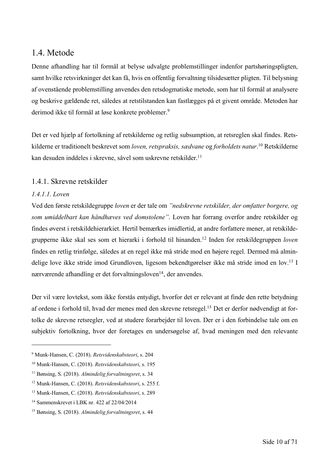### 1.4. Metode

Denne afhandling har til formål at belyse udvalgte problemstillinger indenfor partshøringspligten, samt hvilke retsvirkninger det kan få, hvis en offentlig forvaltning tilsidesætter pligten. Til belysning af ovenstående problemstilling anvendes den retsdogmatiske metode, som har til formål at analysere og beskrive gældende ret, således at retstilstanden kan fastlægges på et givent område. Metoden har derimod ikke til formål at løse konkrete problemer. 9

Det er ved hjælp af fortolkning af retskilderne og retlig subsumption, at retsreglen skal findes. Retskilderne er traditionelt beskrevet som *loven, retspraksis, sædvane* og *forholdets natur*. <sup>10</sup> Retskilderne kan desuden inddeles i skrevne, såvel som uskrevne retskilder. 11

#### 1.4.1. Skrevne retskilder

#### *1.4.1.1. Loven*

Ved den første retskildegruppe *loven* er der tale om *"nedskrevne retskilder, der omfatter borgere, og som umiddelbart kan håndhæves ved domstolene"*. Loven har forrang overfor andre retskilder og findes øverst i retskildehierarkiet. Hertil bemærkes imidlertid, at andre forfattere mener, at retskildegrupperne ikke skal ses som et hierarki i forhold til hinanden. <sup>12</sup> Inden for retskildegruppen *loven* findes en retlig trinfølge, således at en regel ikke må stride mod en højere regel. Dermed må almindelige love ikke stride imod Grundloven, ligesom bekendtgørelser ikke må stride imod en lov. <sup>13</sup> I nærværende afhandling er det forvaltningsloven<sup>14</sup>, der anvendes.

Der vil være lovtekst, som ikke forstås entydigt, hvorfor det er relevant at finde den rette betydning af ordene i forhold til, hvad der menes med den skrevne retsregel.<sup>15</sup> Det er derfor nødvendigt at fortolke de skrevne retsregler, ved at studere forarbejder til loven. Der er i den forbindelse tale om en subjektiv fortolkning, hvor der foretages en undersøgelse af, hvad meningen med den relevante

<sup>9</sup> Munk-Hansen, C. (2018). *Retsvidenskabsteori*, s. 204

<sup>10</sup> Munk-Hansen, C. (2018). *Retsvidenskabsteori*, s. 195

<sup>11</sup> Bønsing, S. (2018). *Almindelig forvaltningsret*, s. 34

<sup>12</sup> Munk-Hansen, C. (2018). *Retsvidenskabsteori*, s. 255 f.

<sup>13</sup> Munk-Hansen, C. (2018). *Retsvidenskabsteori*, s. 289

<sup>14</sup> Sammenskrevet i LBK nr. 422 af 22/04/2014

<sup>15</sup> Bønsing, S. (2018). *Almindelig forvaltningsret*, s. 44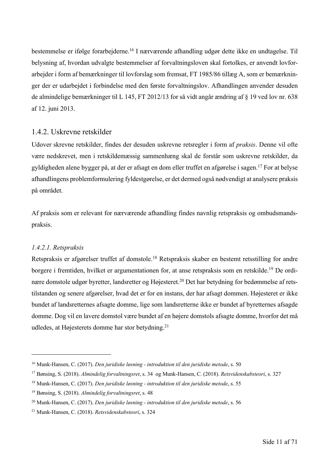bestemmelse er ifølge forarbejderne. <sup>16</sup> I nærværende afhandling udgør dette ikke en undtagelse. Til belysning af, hvordan udvalgte bestemmelser af forvaltningsloven skal fortolkes, er anvendt lovforarbejder i form af bemærkninger til lovforslag som fremsat, FT 1985/86 tillæg A, som er bemærkninger der er udarbejdet i forbindelse med den første forvaltningslov. Afhandlingen anvender desuden de almindelige bemærkninger til L 145, FT 2012/13 for så vidt angår ændring af § 19 ved lov nr. 638 af 12. juni 2013.

#### 1.4.2. Uskrevne retskilder

Udover skrevne retskilder, findes der desuden uskrevne retsregler i form af *praksis*. Denne vil ofte være nedskrevet, men i retskildemæssig sammenhæng skal de forstår som uskrevne retskilder, da gyldigheden alene bygger på, at der er afsagt en dom eller truffet en afgørelse i sagen. <sup>17</sup> For at belyse afhandlingens problemformulering fyldestgørelse, er det dermed også nødvendigt at analysere praksis på området.

Af praksis som er relevant for nærværende afhandling findes navnlig retspraksis og ombudsmandspraksis.

#### *1.4.2.1. Retspraksis*

Retspraksis er afgørelser truffet af domstole.<sup>18</sup> Retspraksis skaber en bestemt retsstilling for andre borgere i fremtiden, hvilket er argumentationen for, at anse retspraksis som en retskilde. <sup>19</sup> De ordinære domstole udgør byretter, landsretter og Højesteret.<sup>20</sup> Det har betydning for bedømmelse af retstilstanden og senere afgørelser, hvad det er for en instans, der har afsagt dommen. Højesteret er ikke bundet af landsretternes afsagte domme, lige som landsretterne ikke er bundet af byretternes afsagde domme. Dog vil en lavere domstol være bundet af en højere domstols afsagte domme, hvorfor det må udledes, at Højesterets domme har stor betydning.<sup>21</sup>

<sup>16</sup> Munk-Hansen, C. (2017). *Den juridiske løsning - introduktion til den juridiske metode*, s. 50

<sup>17</sup> Bønsing, S. (2018). *Almindelig forvaltningsret*, s. 34 og Munk-Hansen, C. (2018). *Retsvidenskabsteori*, s. 327

<sup>18</sup> Munk-Hansen, C. (2017). *Den juridiske løsning - introduktion til den juridiske metode*, s. 55

<sup>19</sup> Bønsing, S. (2018). *Almindelig forvaltningsret*, s. 48

<sup>20</sup> Munk-Hansen, C. (2017). *Den juridiske løsning - introduktion til den juridiske metode*, s. 56

<sup>21</sup> Munk-Hansen, C. (2018). *Retsvidenskabsteori*, s. 324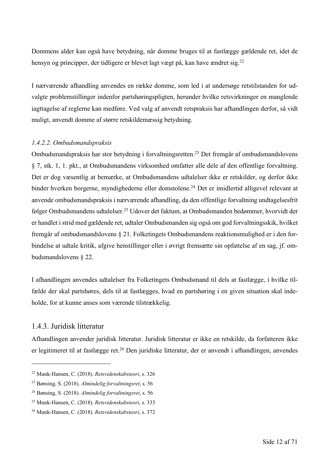Dommens alder kan også have betydning, når domme bruges til at fastlægge gældende ret, idet de hensyn og principper, der tidligere er blevet lagt vægt på, kan have ændret sig.<sup>22</sup>

I nærværende afhandling anvendes en række domme, som led i at undersøge retstilstanden for udvalgte problemstillinger indenfor partshøringspligten, herunder hvilke retsvirkninger en manglende iagttagelse af reglerne kan medføre. Ved valg af anvendt retspraksis har afhandlingen derfor, så vidt muligt, anvendt domme af større retskildemæssig betydning.

#### *1.4.2.2. Ombudsmandspraksis*

Ombudsmandspraksis har stor betydning i forvaltningsretten. <sup>23</sup> Det fremgår af ombudsmandslovens § 7, stk. 1, 1. pkt., at Ombudsmandens virksomhed omfatter alle dele af den offentlige forvaltning. Det er dog væsentlig at bemærke, at Ombudsmandens udtalelser ikke er retskilder, og derfor ikke binder hverken borgerne, myndighederne eller domstolene. <sup>24</sup> Det er imidlertid alligevel relevant at anvende ombudsmandspraksis i nærværende afhandling, da den offentlige forvaltning undtagelsesfrit følger Ombudsmandens udtalelser. <sup>25</sup> Udover det faktum, at Ombudsmanden bedømmer, hvorvidt der er handlet i strid med gældende ret, udtaler Ombudsmanden sig også om god forvaltningsskik, hvilket fremgår af ombudsmandslovens § 21. Folketingets Ombudsmandens reaktionsmulighed er i den forbindelse at udtale kritik, afgive henstillinger eller i øvrigt fremsætte sin opfattelse af en sag, jf. ombudsmandslovens § 22.

I afhandlingen anvendes udtalelser fra Folketingets Ombudsmand til dels at fastlægge, i hvilke tilfælde der skal partshøres, dels til at fastlægges, hvad en partshøring i en given situation skal indeholde, for at kunne anses som værende tilstrækkelig.

#### 1.4.3. Juridisk litteratur

Afhandlingen anvender juridisk litteratur. Juridisk litteratur er ikke en retskilde, da forfatteren ikke er legitimeret til at fastlægge ret.<sup>26</sup> Den juridiske litteratur, der er anvendt i afhandlingen, anvendes

<sup>22</sup> Munk-Hansen, C. (2018). *Retsvidenskabsteori*, s. 326

<sup>23</sup> Bønsing, S. (2018). *Almindelig forvaltningsret*, s. 56

<sup>24</sup> Bønsing, S. (2018). *Almindelig forvaltningsret*, s. 56

<sup>25</sup> Munk-Hansen, C. (2018). *Retsvidenskabsteori*, s. 333

<sup>26</sup> Munk-Hansen, C. (2018). *Retsvidenskabsteori*, s. 372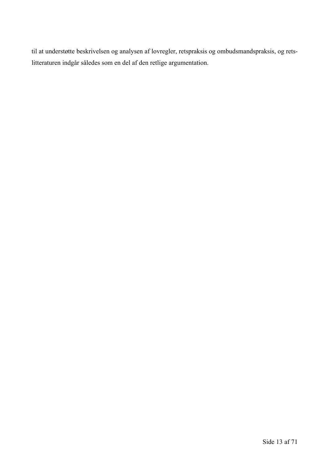til at understøtte beskrivelsen og analysen af lovregler, retspraksis og ombudsmandspraksis, og retslitteraturen indgår således som en del af den retlige argumentation.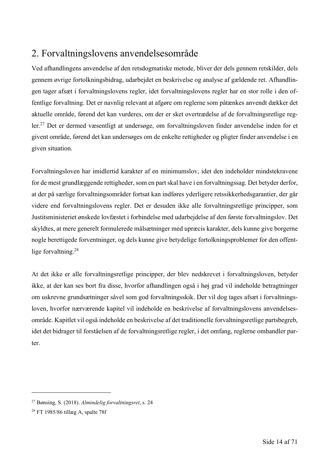## 2. Forvaltningslovens anvendelsesområde

Ved afhandlingens anvendelse af den retsdogmatiske metode, bliver der dels gennem retskilder, dels gennem øvrige fortolkningsbidrag, udarbejdet en beskrivelse og analyse af gældende ret. Afhandlingen tager afsæt i forvaltningslovens regler, idet forvaltningslovens regler har en stor rolle i den offentlige forvaltning. Det er navnlig relevant at afgøre om reglerne som påtænkes anvendt dækker det aktuelle område, førend det kan vurderes, om der er sket overtrædelse af de forvaltningsretlige regler.<sup>27</sup> Det er dermed væsentligt at undersøge, om forvaltningsloven finder anvendelse inden for et givent område, førend det kan undersøges om de enkelte rettigheder og pligter finder anvendelse i en given situation.

Forvaltningsloven har imidlertid karakter af en minimumslov, idet den indeholder mindstekravene for de mest grundlæggende rettigheder, som en part skal have i en forvaltningssag. Det betyder derfor, at der på særlige forvaltningsområder fortsat kan indføres yderligere retssikkerhedsgarantier, der går videre end forvaltningslovens regler. Det er desuden ikke alle forvaltningsretlige principper, som Justitsministeriet ønskede lovfæstet i forbindelse med udarbejdelse af den første forvaltningslov. Det skyldtes, at mere generelt formulerede målsætninger med upræcis karakter, dels kunne give borgerne nogle berettigede forventninger, og dels kunne give betydelige fortolkningsproblemer for den offentlige forvaltning.<sup>28</sup>

At det ikke er alle forvaltningsretlige principper, der blev nedskrevet i forvaltningsloven, betyder ikke, at der kan ses bort fra disse, hvorfor afhandlingen også i høj grad vil indeholde betragtninger om uskrevne grundsætninger såvel som god forvaltningsskik. Der vil dog tages afsæt i forvaltningsloven, hvorfor nærværende kapitel vil indeholde en beskrivelse af forvaltningslovens anvendelsesområde. Kapitlet vil også indeholde en beskrivelse af det traditionelle forvaltningsretlige partsbegreb, idet det bidrager til forståelsen af de forvaltningsretlige regler, i det omfang, reglerne omhandler parter.

<sup>27</sup> Bønsing, S. (2018). *Almindelig forvaltningsret*, s. 24

<sup>28</sup> FT 1985/86 tillæg A, spalte 78f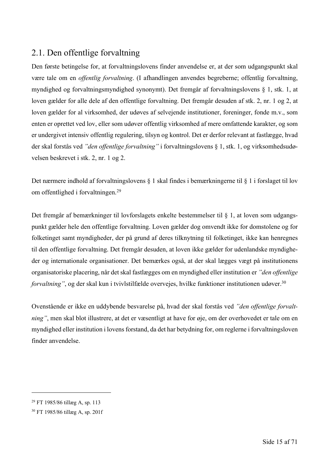## 2.1. Den offentlige forvaltning

Den første betingelse for, at forvaltningslovens finder anvendelse er, at der som udgangspunkt skal være tale om en *offentlig forvaltning*. (I afhandlingen anvendes begreberne; offentlig forvaltning, myndighed og forvaltningsmyndighed synonymt). Det fremgår af forvaltningslovens § 1, stk. 1, at loven gælder for alle dele af den offentlige forvaltning. Det fremgår desuden af stk. 2, nr. 1 og 2, at loven gælder for al virksomhed, der udøves af selvejende institutioner, foreninger, fonde m.v., som enten er oprettet ved lov, eller som udøver offentlig virksomhed af mere omfattende karakter, og som er undergivet intensiv offentlig regulering, tilsyn og kontrol. Det er derfor relevant at fastlægge, hvad der skal forstås ved *"den offentlige forvaltning"* i forvaltningslovens § 1, stk. 1, og virksomhedsudøvelsen beskrevet i stk. 2, nr. 1 og 2.

Det nærmere indhold af forvaltningslovens § 1 skal findes i bemærkningerne til § 1 i forslaget til lov om offentlighed i forvaltningen.<sup>29</sup>

Det fremgår af bemærkninger til lovforslagets enkelte bestemmelser til § 1, at loven som udgangspunkt gælder hele den offentlige forvaltning. Loven gælder dog omvendt ikke for domstolene og for folketinget samt myndigheder, der på grund af deres tilknytning til folketinget, ikke kan henregnes til den offentlige forvaltning. Det fremgår desuden, at loven ikke gælder for udenlandske myndigheder og internationale organisationer. Det bemærkes også, at der skal lægges vægt på institutionens organisatoriske placering, når det skal fastlægges om en myndighed eller institution er *"den offentlige forvaltning*", og der skal kun i tvivlstilfælde overvejes, hvilke funktioner institutionen udøver.<sup>30</sup>

Ovenstående er ikke en uddybende besvarelse på, hvad der skal forstås ved *"den offentlige forvaltning"*, men skal blot illustrere, at det er væsentligt at have for øje, om der overhovedet er tale om en myndighed eller institution i lovens forstand, da det har betydning for, om reglerne i forvaltningsloven finder anvendelse.

<sup>29</sup> FT 1985/86 tillæg A, sp. 113

<sup>30</sup> FT 1985/86 tillæg A, sp. 201f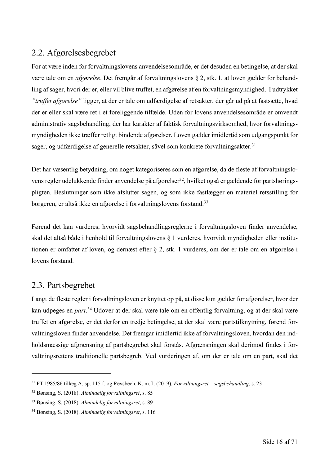## 2.2. Afgørelsesbegrebet

For at være inden for forvaltningslovens anvendelsesområde, er det desuden en betingelse, at der skal være tale om en *afgørelse*. Det fremgår af forvaltningslovens § 2, stk. 1, at loven gælder for behandling af sager, hvori der er, eller vil blive truffet, en afgørelse af en forvaltningsmyndighed. I udtrykket *"truffet afgørelse"* ligger, at der er tale om udfærdigelse af retsakter, der går ud på at fastsætte, hvad der er eller skal være ret i et foreliggende tilfælde. Uden for lovens anvendelsesområde er omvendt administrativ sagsbehandling, der har karakter af faktisk forvaltningsvirksomhed, hvor forvaltningsmyndigheden ikke træffer retligt bindende afgørelser. Loven gælder imidlertid som udgangspunkt for sager, og udfærdigelse af generelle retsakter, såvel som konkrete forvaltningsakter.<sup>31</sup>

Det har væsentlig betydning, om noget kategoriseres som en afgørelse, da de fleste af forvaltningslovens regler udelukkende finder anvendelse på afgørelser<sup>32</sup>, hvilket også er gældende for partshøringspligten. Beslutninger som ikke afslutter sagen, og som ikke fastlægger en materiel retsstilling for borgeren, er altså ikke en afgørelse i forvaltningslovens forstand.<sup>33</sup>

Førend det kan vurderes, hvorvidt sagsbehandlingsreglerne i forvaltningsloven finder anvendelse, skal det altså både i henhold til forvaltningslovens § 1 vurderes, hvorvidt myndigheden eller institutionen er omfattet af loven, og dernæst efter § 2, stk. 1 vurderes, om der er tale om en afgørelse i lovens forstand.

### 2.3. Partsbegrebet

Langt de fleste regler i forvaltningsloven er knyttet op på, at disse kun gælder for afgørelser, hvor der kan udpeges en *part*. <sup>34</sup> Udover at der skal være tale om en offentlig forvaltning, og at der skal være truffet en afgørelse, er det derfor en tredje betingelse, at der skal være partstilknytning, førend forvaltningsloven finder anvendelse. Det fremgår imidlertid ikke af forvaltningsloven, hvordan den indholdsmæssige afgrænsning af partsbegrebet skal forstås. Afgrænsningen skal derimod findes i forvaltningsrettens traditionelle partsbegreb. Ved vurderingen af, om der er tale om en part, skal det

<sup>31</sup> FT 1985/86 tillæg A, sp. 115 f. og Revsbech, K. m.fl. (2019). *Forvaltningsret – sagsbehandling*, s. 23

<sup>32</sup> Bønsing, S. (2018). *Almindelig forvaltningsret*, s. 85

<sup>33</sup> Bønsing, S. (2018). *Almindelig forvaltningsret*, s. 89

<sup>34</sup> Bønsing, S. (2018). *Almindelig forvaltningsret*, s. 116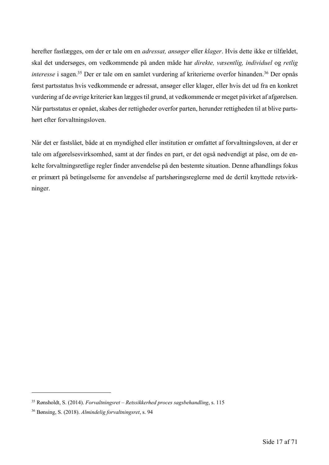herefter fastlægges, om der er tale om en *adressat, ansøger* eller *klager*. Hvis dette ikke er tilfældet, skal det undersøges, om vedkommende på anden måde har *direkte, væsentlig, individuel* og *retlig interesse* i sagen. <sup>35</sup> Der er tale om en samlet vurdering af kriterierne overfor hinanden. <sup>36</sup> Der opnås først partsstatus hvis vedkommende er adressat, ansøger eller klager, eller hvis det ud fra en konkret vurdering af de øvrige kriterier kan lægges til grund, at vedkommende er meget påvirket af afgørelsen. Når partsstatus er opnået, skabes der rettigheder overfor parten, herunder rettigheden til at blive partshørt efter forvaltningsloven.

Når det er fastslået, både at en myndighed eller institution er omfattet af forvaltningsloven, at der er tale om afgørelsesvirksomhed, samt at der findes en part, er det også nødvendigt at påse, om de enkelte forvaltningsretlige regler finder anvendelse på den bestemte situation. Denne afhandlings fokus er primært på betingelserne for anvendelse af partshøringsreglerne med de dertil knyttede retsvirkninger.

<sup>35</sup> Rønsholdt, S. (2014). *Forvaltningsret – Retssikkerhed proces sagsbehandling*, s. 115

<sup>36</sup> Bønsing, S. (2018). *Almindelig forvaltningsret*, s. 94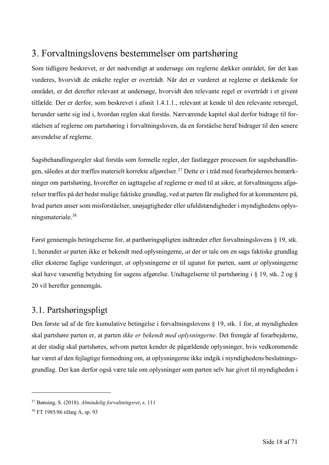## 3. Forvaltningslovens bestemmelser om partshøring

Som tidligere beskrevet, er det nødvendigt at undersøge om reglerne dækker området, før det kan vurderes, hvorvidt de enkelte regler er overtrådt. Når det er vurderet at reglerne er dækkende for området, er det derefter relevant at undersøge, hvorvidt den relevante regel er overtrådt i et givent tilfælde. Der er derfor, som beskrevet i afsnit 1.4.1.1., relevant at kende til den relevante retsregel, herunder sætte sig ind i, hvordan reglen skal forstås. Nærværende kapitel skal derfor bidrage til forståelsen af reglerne om partshøring i forvaltningsloven, da en forståelse heraf bidrager til den senere anvendelse af reglerne.

Sagsbehandlingsregler skal forstås som formelle regler, der fastlægger processen for sagsbehandlingen, således at der træffes materielt korrekte afgørelser.37 Dette er i tråd med forarbejdernes bemærkninger om partshøring, hvorefter en iagttagelse af reglerne er med til at sikre, at forvaltningens afgørelser træffes på det bedst mulige faktiske grundlag, ved at parten får mulighed for at kommentere på, hvad parten anser som misforståelser, unøjagtigheder eller ufuldstændigheder i myndighedens oplysningsmateriale.38

Først gennemgås betingelserne for, at parthøringspligten indtræder efter forvaltningslovens § 19, stk. 1, herunder *at* parten ikke er bekendt med oplysningerne, *at* der er tale om en sags faktiske grundlag eller eksterne faglige vurderinger, *at* oplysningerne er til ugunst for parten, samt *at* oplysningerne skal have væsentlig betydning for sagens afgørelse. Undtagelserne til partshøring i § 19, stk. 2 og § 20 vil herefter gennemgås.

### 3.1. Partshøringspligt

Den første ud af de fire kumulative betingelse i forvaltningslovens § 19, stk. 1 for, at myndigheden skal partshøre parten er, at parten *ikke er bekendt med oplysningerne*. Det fremgår af forarbejderne, at der stadig skal partshøres, selvom parten kender de pågældende oplysninger, hvis vedkommende har været af den fejlagtige formodning om, at oplysningerne ikke indgik i myndighedens beslutningsgrundlag. Der kan derfor også være tale om oplysninger som parten selv har givet til myndigheden i

<sup>37</sup> Bønsing, S. (2018). *Almindelig forvaltningsret*, s. 111

<sup>38</sup> FT 1985/86 tillæg A, sp. 93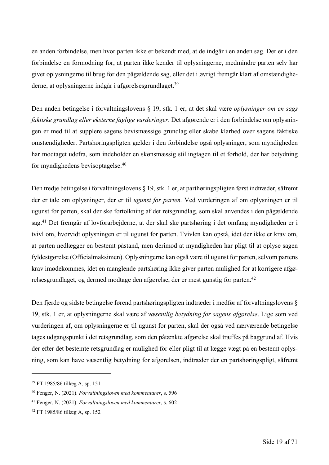en anden forbindelse, men hvor parten ikke er bekendt med, at de indgår i en anden sag. Der er i den forbindelse en formodning for, at parten ikke kender til oplysningerne, medmindre parten selv har givet oplysningerne til brug for den pågældende sag, eller det i øvrigt fremgår klart af omstændighederne, at oplysningerne indgår i afgørelsesgrundlaget.39

Den anden betingelse i forvaltningslovens § 19, stk. 1 er, at det skal være *oplysninger om en sags faktiske grundlag eller eksterne faglige vurderinger*. Det afgørende er i den forbindelse om oplysningen er med til at supplere sagens bevismæssige grundlag eller skabe klarhed over sagens faktiske omstændigheder. Partshøringspligten gælder i den forbindelse også oplysninger, som myndigheden har modtaget udefra, som indeholder en skønsmæssig stillingtagen til et forhold, der har betydning for myndighedens bevisoptagelse. 40

Den tredje betingelse i forvaltningslovens § 19, stk. 1 er, at parthøringspligten først indtræder, såfremt der er tale om oplysninger, der er til *ugunst for parten.* Ved vurderingen af om oplysningen er til ugunst for parten, skal der ske fortolkning af det retsgrundlag, som skal anvendes i den pågældende sag.<sup>41</sup> Det fremgår af lovforarbejderne, at der skal ske partshøring i det omfang myndigheden er i tvivl om, hvorvidt oplysningen er til ugunst for parten. Tvivlen kan opstå, idet der ikke er krav om, at parten nedlægger en bestemt påstand, men derimod at myndigheden har pligt til at oplyse sagen fyldestgørelse (Officialmaksimen). Oplysningerne kan også være til ugunst for parten, selvom partens krav imødekommes, idet en manglende partshøring ikke giver parten mulighed for at korrigere afgørelsesgrundlaget, og dermed modtage den afgørelse, der er mest gunstig for parten. 42

Den fjerde og sidste betingelse førend partshøringspligten indtræder i medfør af forvaltningslovens § 19, stk. 1 er, at oplysningerne skal være af *væsentlig betydning for sagens afgørelse*. Lige som ved vurderingen af, om oplysningerne er til ugunst for parten, skal der også ved nærværende betingelse tages udgangspunkt i det retsgrundlag, som den påtænkte afgørelse skal træffes på baggrund af. Hvis der efter det bestemte retsgrundlag er mulighed for eller pligt til at lægge vægt på en bestemt oplysning, som kan have væsentlig betydning for afgørelsen, indtræder der en partshøringspligt, såfremt

<sup>39</sup> FT 1985/86 tillæg A, sp. 151

<sup>40</sup> Fenger, N. (2021). *Forvaltningsloven med kommentarer*, s. 596

<sup>41</sup> Fenger, N. (2021). *Forvaltningsloven med kommentarer*, s. 602

<sup>42</sup> FT 1985/86 tillæg A, sp. 152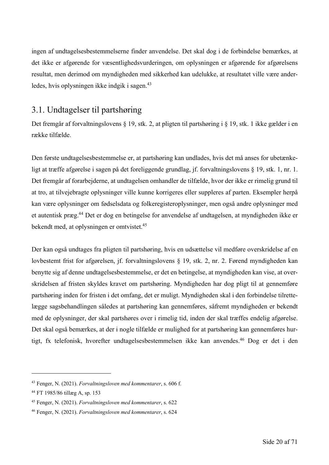ingen af undtagelsesbestemmelserne finder anvendelse. Det skal dog i de forbindelse bemærkes, at det ikke er afgørende for væsentlighedsvurderingen, om oplysningen er afgørende for afgørelsens resultat, men derimod om myndigheden med sikkerhed kan udelukke, at resultatet ville være anderledes, hvis oplysningen ikke indgik i sagen.<sup>43</sup>

## 3.1. Undtagelser til partshøring

Det fremgår af forvaltningslovens § 19, stk. 2, at pligten til partshøring i § 19, stk. 1 ikke gælder i en række tilfælde.

Den første undtagelsesbestemmelse er, at partshøring kan undlades, hvis det må anses for ubetænkeligt at træffe afgørelse i sagen på det foreliggende grundlag, jf. forvaltningslovens § 19, stk. 1, nr. 1. Det fremgår af forarbejderne, at undtagelsen omhandler de tilfælde, hvor der ikke er rimelig grund til at tro, at tilvejebragte oplysninger ville kunne korrigeres eller suppleres af parten. Eksempler herpå kan være oplysninger om fødselsdata og folkeregisteroplysninger, men også andre oplysninger med et autentisk præg. <sup>44</sup> Det er dog en betingelse for anvendelse af undtagelsen, at myndigheden ikke er bekendt med, at oplysningen er omtvistet.45

Der kan også undtages fra pligten til partshøring, hvis en udsættelse vil medføre overskridelse af en lovbestemt frist for afgørelsen, jf. forvaltningslovens § 19, stk. 2, nr. 2. Førend myndigheden kan benytte sig af denne undtagelsesbestemmelse, er det en betingelse, at myndigheden kan vise, at overskridelsen af fristen skyldes kravet om partshøring. Myndigheden har dog pligt til at gennemføre partshøring inden for fristen i det omfang, det er muligt. Myndigheden skal i den forbindelse tilrettelægge sagsbehandlingen således at partshøring kan gennemføres, såfremt myndigheden er bekendt med de oplysninger, der skal partshøres over i rimelig tid, inden der skal træffes endelig afgørelse. Det skal også bemærkes, at der i nogle tilfælde er mulighed for at partshøring kan gennemføres hurtigt, fx telefonisk, hvorefter undtagelsesbestemmelsen ikke kan anvendes.<sup>46</sup> Dog er det i den

<sup>43</sup> Fenger, N. (2021). *Forvaltningsloven med kommentarer*, s. 606 f.

<sup>44</sup> FT 1985/86 tillæg A, sp. 153

<sup>45</sup> Fenger, N. (2021). *Forvaltningsloven med kommentarer*, s. 622

<sup>46</sup> Fenger, N. (2021). *Forvaltningsloven med kommentarer*, s. 624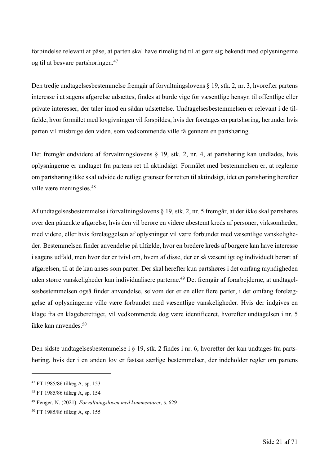forbindelse relevant at påse, at parten skal have rimelig tid til at gøre sig bekendt med oplysningerne og til at besvare partshøringen. 47

Den tredje undtagelsesbestemmelse fremgår af forvaltningslovens § 19, stk. 2, nr. 3, hvorefter partens interesse i at sagens afgørelse udsættes, findes at burde vige for væsentlige hensyn til offentlige eller private interesser, der taler imod en sådan udsættelse. Undtagelsesbestemmelsen er relevant i de tilfælde, hvor formålet med lovgivningen vil forspildes, hvis der foretages en partshøring, herunder hvis parten vil misbruge den viden, som vedkommende ville få gennem en partshøring.

Det fremgår endvidere af forvaltningslovens § 19, stk. 2, nr. 4, at partshøring kan undlades, hvis oplysningerne er undtaget fra partens ret til aktindsigt. Formålet med bestemmelsen er, at reglerne om partshøring ikke skal udvide de retlige grænser for retten til aktindsigt, idet en partshøring herefter ville være meningsløs.48

Af undtagelsesbestemmelse i forvaltningslovens § 19, stk. 2, nr. 5 fremgår, at der ikke skal partshøres over den påtænkte afgørelse, hvis den vil berøre en videre ubestemt kreds af personer, virksomheder, med videre, eller hvis forelæggelsen af oplysninger vil være forbundet med væsentlige vanskeligheder. Bestemmelsen finder anvendelse på tilfælde, hvor en bredere kreds af borgere kan have interesse i sagens udfald, men hvor der er tvivl om, hvem af disse, der er så væsentligt og individuelt berørt af afgørelsen, til at de kan anses som parter. Der skal herefter kun partshøres i det omfang myndigheden uden større vanskeligheder kan individualisere parterne. <sup>49</sup> Det fremgår af forarbejderne, at undtagelsesbestemmelsen også finder anvendelse, selvom der er en eller flere parter, i det omfang forelæggelse af oplysningerne ville være forbundet med væsentlige vanskeligheder. Hvis der indgives en klage fra en klageberettiget, vil vedkommende dog være identificeret, hvorefter undtagelsen i nr. 5 ikke kan anvendes.50

Den sidste undtagelsesbestemmelse i § 19, stk. 2 findes i nr. 6, hvorefter der kan undtages fra partshøring, hvis der i en anden lov er fastsat særlige bestemmelser, der indeholder regler om partens

<sup>47</sup> FT 1985/86 tillæg A, sp. 153

<sup>48</sup> FT 1985/86 tillæg A, sp. 154

<sup>49</sup> Fenger, N. (2021). *Forvaltningsloven med kommentarer*, s. 629

<sup>50</sup> FT 1985/86 tillæg A, sp. 155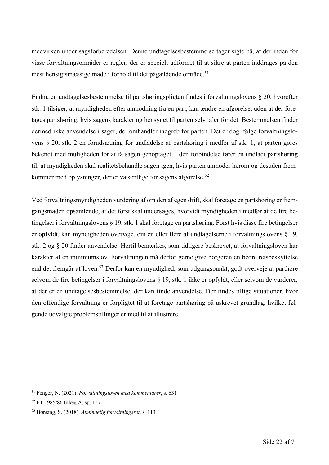medvirken under sagsforberedelsen. Denne undtagelsesbestemmelse tager sigte på, at der inden for visse forvaltningsområder er regler, der er specielt udformet til at sikre at parten inddrages på den mest hensigtsmæssige måde i forhold til det pågældende område.<sup>51</sup>

Endnu en undtagelsesbestemmelse til partshøringspligten findes i forvaltningslovens § 20, hvorefter stk. 1 tilsiger, at myndigheden efter anmodning fra en part, kan ændre en afgørelse, uden at der foretages partshøring, hvis sagens karakter og hensynet til parten selv taler for det. Bestemmelsen finder dermed ikke anvendelse i sager, der omhandler indgreb for parten. Det er dog ifølge forvaltningslovens § 20, stk. 2 en forudsætning for undladelse af partshøring i medfør af stk. 1, at parten gøres bekendt med muligheden for at få sagen genoptaget. I den forbindelse fører en undladt partshøring til, at myndigheden skal realitetsbehandle sagen igen, hvis parten anmoder herom og desuden fremkommer med oplysninger, der er væsentlige for sagens afgørelse. 52

Ved forvaltningsmyndigheden vurdering af om den af egen drift, skal foretage en partshøring er fremgangsmåden opsamlende, at det først skal undersøges, hvorvidt myndigheden i medfør af de fire betingelser i forvaltningslovens § 19, stk. 1 skal foretage en partshøring. Først hvis disse fire betingelser er opfyldt, kan myndigheden overveje, om en eller flere af undtagelserne i forvaltningslovens § 19, stk. 2 og § 20 finder anvendelse. Hertil bemærkes, som tidligere beskrevet, at forvaltningsloven har karakter af en minimumslov. Forvaltningen må derfor gerne give borgeren en bedre retsbeskyttelse end det fremgår af loven.53 Derfor kan en myndighed, som udgangspunkt, godt overveje at parthøre selvom de fire betingelser i forvaltningslovens § 19, stk. 1 ikke er opfyldt, eller selvom de vurderer, at der er en undtagelsesbestemmelse, der kan finde anvendelse. Der findes tillige situationer, hvor den offentlige forvaltning er forpligtet til at foretage partshøring på uskrevet grundlag, hvilket følgende udvalgte problemstillinger er med til at illustrere.

<sup>51</sup> Fenger, N. (2021). *Forvaltningsloven med kommentarer*, s. 631

<sup>52</sup> FT 1985/86 tillæg A, sp. 157

<sup>53</sup> Bønsing, S. (2018). *Almindelig forvaltningsret*, s. 113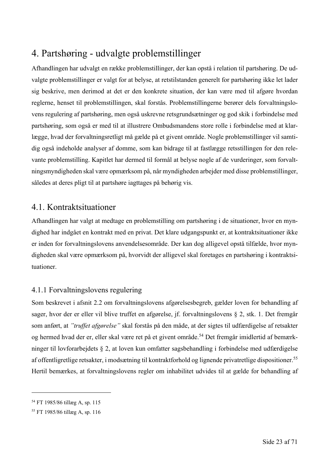## 4. Partshøring - udvalgte problemstillinger

Afhandlingen har udvalgt en række problemstillinger, der kan opstå i relation til partshøring. De udvalgte problemstillinger er valgt for at belyse, at retstilstanden generelt for partshøring ikke let lader sig beskrive, men derimod at det er den konkrete situation, der kan være med til afgøre hvordan reglerne, henset til problemstillingen, skal forstås. Problemstillingerne berører dels forvaltningslovens regulering af partshøring, men også uskrevne retsgrundsætninger og god skik i forbindelse med partshøring, som også er med til at illustrere Ombudsmandens store rolle i forbindelse med at klarlægge, hvad der forvaltningsretligt må gælde på et givent område. Nogle problemstillinger vil samtidig også indeholde analyser af domme, som kan bidrage til at fastlægge retsstillingen for den relevante problemstilling. Kapitlet har dermed til formål at belyse nogle af de vurderinger, som forvaltningsmyndigheden skal være opmærksom på, når myndigheden arbejder med disse problemstillinger, således at deres pligt til at partshøre iagttages på behørig vis.

### 4.1. Kontraktsituationer

Afhandlingen har valgt at medtage en problemstilling om partshøring i de situationer, hvor en myndighed har indgået en kontrakt med en privat. Det klare udgangspunkt er, at kontraktsituationer ikke er inden for forvaltningslovens anvendelsesområde. Der kan dog alligevel opstå tilfælde, hvor myndigheden skal være opmærksom på, hvorvidt der alligevel skal foretages en partshøring i kontraktsituationer.

#### 4.1.1 Forvaltningslovens regulering

Som beskrevet i afsnit 2.2 om forvaltningslovens afgørelsesbegreb, gælder loven for behandling af sager, hvor der er eller vil blive truffet en afgørelse, jf. forvaltningslovens § 2, stk. 1. Det fremgår som anført, at *"truffet afgørelse"* skal forstås på den måde, at der sigtes til udfærdigelse af retsakter og hermed hvad der er, eller skal være ret på et givent område. <sup>54</sup> Det fremgår imidlertid af bemærkninger til lovforarbejdets § 2, at loven kun omfatter sagsbehandling i forbindelse med udfærdigelse af offentligretlige retsakter, i modsætning til kontraktforhold og lignende privatretlige dispositioner.55 Hertil bemærkes, at forvaltningslovens regler om inhabilitet udvides til at gælde for behandling af

<sup>54</sup> FT 1985/86 tillæg A, sp. 115

<sup>55</sup> FT 1985/86 tillæg A, sp. 116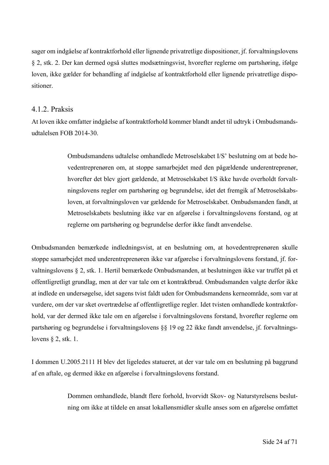sager om indgåelse af kontraktforhold eller lignende privatretlige dispositioner, jf. forvaltningslovens § 2, stk. 2. Der kan dermed også sluttes modsætningsvist, hvorefter reglerne om partshøring, ifølge loven, ikke gælder for behandling af indgåelse af kontraktforhold eller lignende privatretlige dispositioner.

#### 4.1.2. Praksis

At loven ikke omfatter indgåelse af kontraktforhold kommer blandt andet til udtryk i Ombudsmandsudtalelsen FOB 2014-30.

> Ombudsmandens udtalelse omhandlede Metroselskabet I/S' beslutning om at bede hovedentreprenøren om, at stoppe samarbejdet med den pågældende underentreprenør, hvorefter det blev gjort gældende, at Metroselskabet I/S ikke havde overholdt forvaltningslovens regler om partshøring og begrundelse, idet det fremgik af Metroselskabsloven, at forvaltningsloven var gældende for Metroselskabet. Ombudsmanden fandt, at Metroselskabets beslutning ikke var en afgørelse i forvaltningslovens forstand, og at reglerne om partshøring og begrundelse derfor ikke fandt anvendelse.

Ombudsmanden bemærkede indledningsvist, at en beslutning om, at hovedentreprenøren skulle stoppe samarbejdet med underentreprenøren ikke var afgørelse i forvaltningslovens forstand, jf. forvaltningslovens § 2, stk. 1. Hertil bemærkede Ombudsmanden, at beslutningen ikke var truffet på et offentligretligt grundlag, men at der var tale om et kontraktbrud. Ombudsmanden valgte derfor ikke at indlede en undersøgelse, idet sagens tvist faldt uden for Ombudsmandens kerneområde, som var at vurdere, om der var sket overtrædelse af offentligretlige regler. Idet tvisten omhandlede kontraktforhold, var der dermed ikke tale om en afgørelse i forvaltningslovens forstand, hvorefter reglerne om partshøring og begrundelse i forvaltningslovens §§ 19 og 22 ikke fandt anvendelse, jf. forvaltningslovens § 2, stk. 1.

I dommen U.2005.2111 H blev det ligeledes statueret, at der var tale om en beslutning på baggrund af en aftale, og dermed ikke en afgørelse i forvaltningslovens forstand.

> Dommen omhandlede, blandt flere forhold, hvorvidt Skov- og Naturstyrelsens beslutning om ikke at tildele en ansat lokallønsmidler skulle anses som en afgørelse omfattet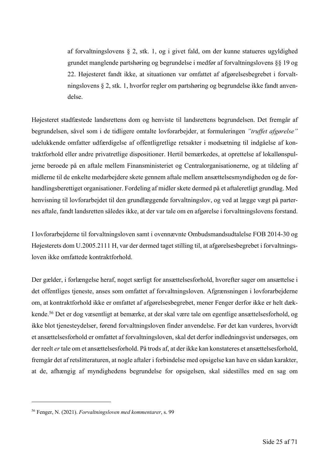af forvaltningslovens § 2, stk. 1, og i givet fald, om der kunne statueres ugyldighed grundet manglende partshøring og begrundelse i medfør af forvaltningslovens §§ 19 og 22. Højesteret fandt ikke, at situationen var omfattet af afgørelsesbegrebet i forvaltningslovens § 2, stk. 1, hvorfor regler om partshøring og begrundelse ikke fandt anvendelse.

Højesteret stadfæstede landsrettens dom og henviste til landsrettens begrundelsen. Det fremgår af begrundelsen, såvel som i de tidligere omtalte lovforarbejder, at formuleringen *"truffet afgørelse"* udelukkende omfatter udfærdigelse af offentligretlige retsakter i modsætning til indgåelse af kontraktforhold eller andre privatretlige dispositioner. Hertil bemærkedes, at oprettelse af lokallønspuljerne beroede på en aftale mellem Finansministeriet og Centralorganisationerne, og at tildeling af midlerne til de enkelte medarbejdere skete gennem aftale mellem ansættelsesmyndigheden og de forhandlingsberettiget organisationer. Fordeling af midler skete dermed på et aftaleretligt grundlag. Med henvisning til lovforarbejdet til den grundlæggende forvaltningslov, og ved at lægge vægt på parternes aftale, fandt landsretten således ikke, at der var tale om en afgørelse i forvaltningslovens forstand.

I lovforarbejderne til forvaltningsloven samt i ovennævnte Ombudsmandsudtalelse FOB 2014-30 og Højesterets dom U.2005.2111 H, var der dermed taget stilling til, at afgørelsesbegrebet i forvaltningsloven ikke omfattede kontraktforhold.

Der gælder, i forlængelse heraf, noget særligt for ansættelsesforhold, hvorefter sager om ansættelse i det offentliges tjeneste, anses som omfattet af forvaltningsloven. Afgrænsningen i lovforarbejderne om, at kontraktforhold ikke er omfattet af afgørelsesbegrebet, mener Fenger derfor ikke er helt dækkende. <sup>56</sup> Det er dog væsentligt at bemærke, at der skal være tale om egentlige ansættelsesforhold, og ikke blot tjenesteydelser, førend forvaltningsloven finder anvendelse. Før det kan vurderes, hvorvidt et ansættelsesforhold er omfattet af forvaltningsloven, skal det derfor indledningsvist undersøges, om der reelt *er*tale om et ansættelsesforhold. På trods af, at der ikke kan konstateres et ansættelsesforhold, fremgår det af retslitteraturen, at nogle aftaler i forbindelse med opsigelse kan have en sådan karakter, at de, afhængig af myndighedens begrundelse for opsigelsen, skal sidestilles med en sag om

<sup>56</sup> Fenger, N. (2021). *Forvaltningsloven med kommentarer*, s. 99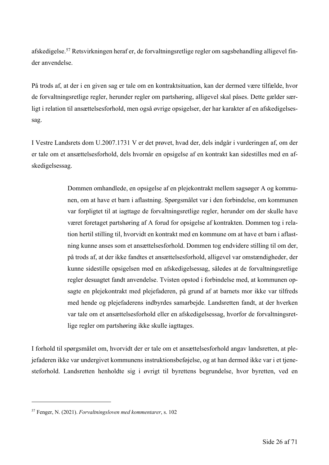afskedigelse. <sup>57</sup> Retsvirkningen heraf er, de forvaltningsretlige regler om sagsbehandling alligevel finder anvendelse.

På trods af, at der i en given sag er tale om en kontraktsituation, kan der dermed være tilfælde, hvor de forvaltningsretlige regler, herunder regler om partshøring, alligevel skal påses. Dette gælder særligt i relation til ansættelsesforhold, men også øvrige opsigelser, der har karakter af en afskedigelsessag.

I Vestre Landsrets dom U.2007.1731 V er det prøvet, hvad der, dels indgår i vurderingen af, om der er tale om et ansættelsesforhold, dels hvornår en opsigelse af en kontrakt kan sidestilles med en afskedigelsessag.

> Dommen omhandlede, en opsigelse af en plejekontrakt mellem sagsøger A og kommunen, om at have et barn i aflastning. Spørgsmålet var i den forbindelse, om kommunen var forpligtet til at iagttage de forvaltningsretlige regler, herunder om der skulle have været foretaget partshøring af A forud for opsigelse af kontrakten. Dommen tog i relation hertil stilling til, hvorvidt en kontrakt med en kommune om at have et barn i aflastning kunne anses som et ansættelsesforhold. Dommen tog endvidere stilling til om der, på trods af, at der ikke fandtes et ansættelsesforhold, alligevel var omstændigheder, der kunne sidestille opsigelsen med en afskedigelsessag, således at de forvaltningsretlige regler desuagtet fandt anvendelse. Tvisten opstod i forbindelse med, at kommunen opsagte en plejekontrakt med plejefaderen, på grund af at barnets mor ikke var tilfreds med hende og plejefaderens indbyrdes samarbejde. Landsretten fandt, at der hverken var tale om et ansættelsesforhold eller en afskedigelsessag, hvorfor de forvaltningsretlige regler om partshøring ikke skulle iagttages.

I forhold til spørgsmålet om, hvorvidt der er tale om et ansættelsesforhold angav landsretten, at plejefaderen ikke var undergivet kommunens instruktionsbeføjelse, og at han dermed ikke var i et tjenesteforhold. Landsretten henholdte sig i øvrigt til byrettens begrundelse, hvor byretten, ved en

<sup>57</sup> Fenger, N. (2021). *Forvaltningsloven med kommentarer*, s. 102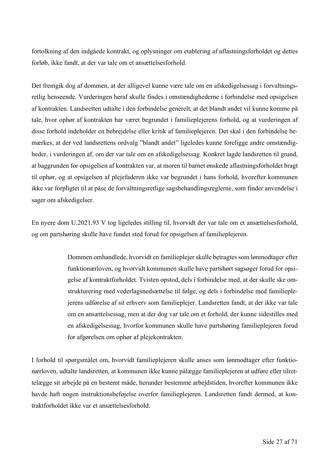fortolkning af den indgåede kontrakt, og oplysninger om etablering af aflastningsforholdet og dettes forløb, ikke fandt, at der var tale om et ansættelsesforhold.

Det fremgik dog af dommen, at der alligevel kunne være tale om en afskedigelsessag i forvaltningsretlig henseende. Vurderingen heraf skulle findes i omstændighederne i forbindelse med opsigelsen af kontrakten. Landsretten udtalte i den forbindelse generelt, at det blandt andet vil kunne komme på tale, hvor ophør af kontrakten har været begrundet i familieplejerens forhold, og at vurderingen af disse forhold indeholder en bebrejdelse eller kritik af familieplejeren. Det skal i den forbindelse bemærkes, at der ved landsrettens ordvalg "blandt andet" ligeledes kunne foreligge andre omstændigheder, i vurderingen af, om der var tale om en afskedigelsessag. Konkret lagde landsretten til grund, at baggrunden for opsigelsen af kontrakten var, at moren til barnet ønskede aflastningsforholdet bragt til ophør, og at opsigelsen af plejefaderen ikke var begrundet i hans forhold, hvorefter kommunen ikke var forpligtet til at påse de forvaltningsretlige sagsbehandlingsreglerne, som finder anvendelse i sager om afskedigelser.

En nyere dom U.2021.93 V tog ligeledes stilling til, hvorvidt der var tale om et ansættelsesforhold, og om partshøring skulle have fundet sted forud for opsigelsen af familieplejeren.

> Dommen omhandlede, hvorvidt en familieplejer skulle betragtes som lønmodtager efter funktionærloven, og hvorvidt kommunen skulle have partshørt sagsøger forud for opsigelse af kontraktforholdet. Tvisten opstod, dels i forbindelse med, at der skulle ske omstrukturering med vederlagsnedsættelse til følge, og dels i forbindelse med familieplejerens udførelse af sit erhverv som familieplejer. Landsretten fandt, at der ikke var tale om en ansættelsessag, men at der dog var tale om et forhold, der kunne sidestilles med en afskedigelsessag, hvorfor kommunen skulle have partshøring familieplejeren forud for afgørelsen om ophør af plejekontrakten.

I forhold til spørgsmålet om, hvorvidt familieplejeren skulle anses som lønmodtager efter funktionærloven, udtalte landsretten, at kommunen ikke kunne pålægge familieplejeren at udføre eller tilrettelægge sit arbejde på en bestemt måde, herunder bestemme arbejdstiden, hvorefter kommunen ikke havde haft nogen instruktionsbeføjelse overfor familieplejeren. Landsretten fandt dermed, at kontraktforholdet ikke var et ansættelsesforhold.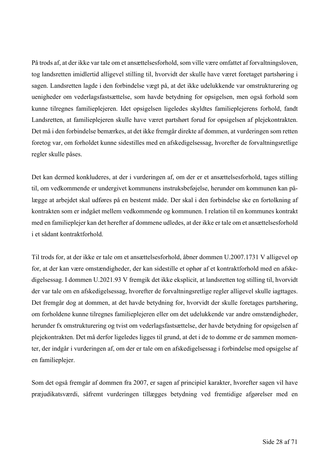På trods af, at der ikke var tale om et ansættelsesforhold, som ville være omfattet af forvaltningsloven, tog landsretten imidlertid alligevel stilling til, hvorvidt der skulle have været foretaget partshøring i sagen. Landsretten lagde i den forbindelse vægt på, at det ikke udelukkende var omstrukturering og uenigheder om vederlagsfastsættelse, som havde betydning for opsigelsen, men også forhold som kunne tilregnes familieplejeren. Idet opsigelsen ligeledes skyldtes familieplejerens forhold, fandt Landsretten, at familieplejeren skulle have været partshørt forud for opsigelsen af plejekontrakten. Det må i den forbindelse bemærkes, at det ikke fremgår direkte af dommen, at vurderingen som retten foretog var, om forholdet kunne sidestilles med en afskedigelsessag, hvorefter de forvaltningsretlige regler skulle påses.

Det kan dermed konkluderes, at der i vurderingen af, om der er et ansættelsesforhold, tages stilling til, om vedkommende er undergivet kommunens instruksbeføjelse, herunder om kommunen kan pålægge at arbejdet skal udføres på en bestemt måde. Der skal i den forbindelse ske en fortolkning af kontrakten som er indgået mellem vedkommende og kommunen. I relation til en kommunes kontrakt med en familieplejer kan det herefter af dommene udledes, at der ikke er tale om et ansættelsesforhold i et sådant kontraktforhold.

Til trods for, at der ikke er tale om et ansættelsesforhold, åbner dommen U.2007.1731 V alligevel op for, at der kan være omstændigheder, der kan sidestille et ophør af et kontraktforhold med en afskedigelsessag. I dommen U.2021.93 V fremgik det ikke eksplicit, at landsretten tog stilling til, hvorvidt der var tale om en afskedigelsessag, hvorefter de forvaltningsretlige regler alligevel skulle iagttages. Det fremgår dog at dommen, at det havde betydning for, hvorvidt der skulle foretages partshøring, om forholdene kunne tilregnes familieplejeren eller om det udelukkende var andre omstændigheder, herunder fx omstrukturering og tvist om vederlagsfastsættelse, der havde betydning for opsigelsen af plejekontrakten. Det må derfor ligeledes ligges til grund, at det i de to domme er de sammen momenter, der indgår i vurderingen af, om der er tale om en afskedigelsessag i forbindelse med opsigelse af en familieplejer.

Som det også fremgår af dommen fra 2007, er sagen af principiel karakter, hvorefter sagen vil have præjudikatsværdi, såfremt vurderingen tillægges betydning ved fremtidige afgørelser med en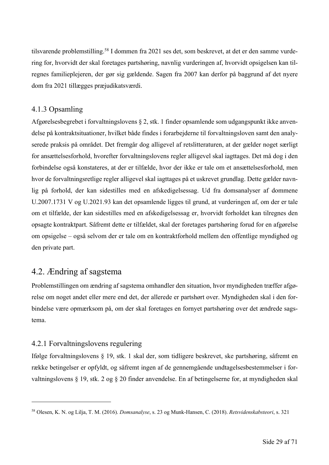tilsvarende problemstilling.<sup>58</sup> I dommen fra 2021 ses det, som beskrevet, at det er den samme vurdering for, hvorvidt der skal foretages partshøring, navnlig vurderingen af, hvorvidt opsigelsen kan tilregnes familieplejeren, der gør sig gældende. Sagen fra 2007 kan derfor på baggrund af det nyere dom fra 2021 tillægges præjudikatsværdi.

#### 4.1.3 Opsamling

Afgørelsesbegrebet i forvaltningslovens § 2, stk. 1 finder opsamlende som udgangspunkt ikke anvendelse på kontraktsituationer, hvilket både findes i forarbejderne til forvaltningsloven samt den analyserede praksis på området. Det fremgår dog alligevel af retslitteraturen, at der gælder noget særligt for ansættelsesforhold, hvorefter forvaltningslovens regler alligevel skal iagttages. Det må dog i den forbindelse også konstateres, at der er tilfælde, hvor der ikke er tale om et ansættelsesforhold, men hvor de forvaltningsretlige regler alligevel skal iagttages på et uskrevet grundlag. Dette gælder navnlig på forhold, der kan sidestilles med en afskedigelsessag. Ud fra domsanalyser af dommene U.2007.1731 V og U.2021.93 kan det opsamlende ligges til grund, at vurderingen af, om der er tale om et tilfælde, der kan sidestilles med en afskedigelsessag er, hvorvidt forholdet kan tilregnes den opsagte kontraktpart. Såfremt dette er tilfældet, skal der foretages partshøring forud for en afgørelse om opsigelse – også selvom der er tale om en kontraktforhold mellem den offentlige myndighed og den private part.

### 4.2. Ændring af sagstema

Problemstillingen om ændring af sagstema omhandler den situation, hvor myndigheden træffer afgørelse om noget andet eller mere end det, der allerede er partshørt over. Myndigheden skal i den forbindelse være opmærksom på, om der skal foretages en fornyet partshøring over det ændrede sagstema.

#### 4.2.1 Forvaltningslovens regulering

Ifølge forvaltningslovens § 19, stk. 1 skal der, som tidligere beskrevet, ske partshøring, såfremt en række betingelser er opfyldt, og såfremt ingen af de gennemgående undtagelsesbestemmelser i forvaltningslovens § 19, stk. 2 og § 20 finder anvendelse. En af betingelserne for, at myndigheden skal

<sup>58</sup> Olesen, K. N. og Lilja, T. M. (2016). *Domsanalyse*, s. 23 og Munk-Hansen, C. (2018). *Retsvidenskabsteori*, s. 321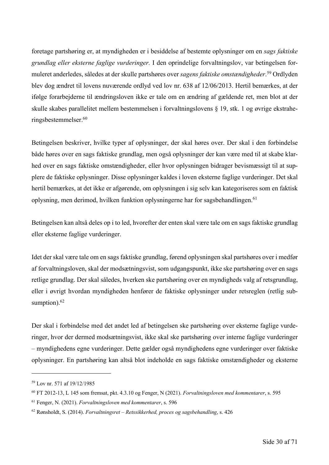foretage partshøring er, at myndigheden er i besiddelse af bestemte oplysninger om en *sags faktiske grundlag eller eksterne faglige vurderinger.* I den oprindelige forvaltningslov, var betingelsen formuleret anderledes, således at der skulle partshøres over *sagens faktiske omstændigheder*. <sup>59</sup> Ordlyden blev dog ændret til lovens nuværende ordlyd ved lov nr. 638 af 12/06/2013. Hertil bemærkes, at der ifølge forarbejderne til ændringsloven ikke er tale om en ændring af gældende ret, men blot at der skulle skabes parallelitet mellem bestemmelsen i forvaltningslovens § 19, stk. 1 og øvrige ekstraheringsbestemmelser. 60

Betingelsen beskriver, hvilke typer af oplysninger, der skal høres over. Der skal i den forbindelse både høres over en sags faktiske grundlag, men også oplysninger der kan være med til at skabe klarhed over en sags faktiske omstændigheder, eller hvor oplysningen bidrager bevismæssigt til at supplere de faktiske oplysninger. Disse oplysninger kaldes i loven eksterne faglige vurderinger. Det skal hertil bemærkes, at det ikke er afgørende, om oplysningen i sig selv kan kategoriseres som en faktisk oplysning, men derimod, hvilken funktion oplysningerne har for sagsbehandlingen. 61

Betingelsen kan altså deles op i to led, hvorefter der enten skal være tale om en sags faktiske grundlag eller eksterne faglige vurderinger.

Idet der skal være tale om en sags faktiske grundlag, førend oplysningen skal partshøres over i medfør af forvaltningsloven, skal der modsætningsvist, som udgangspunkt, ikke ske partshøring over en sags retlige grundlag. Der skal således, hverken ske partshøring over en myndigheds valg af retsgrundlag, eller i øvrigt hvordan myndigheden henfører de faktiske oplysninger under retsreglen (retlig subsumption).<sup>62</sup>

Der skal i forbindelse med det andet led af betingelsen ske partshøring over eksterne faglige vurderinger, hvor der dermed modsætningsvist, ikke skal ske partshøring over interne faglige vurderinger – myndighedens egne vurderinger. Dette gælder også myndighedens egne vurderinger over faktiske oplysninger. En partshøring kan altså blot indeholde en sags faktiske omstændigheder og eksterne

<sup>59</sup> Lov nr. 571 af 19/12/1985

<sup>60</sup> FT 2012-13, L 145 som fremsat, pkt. 4.3.10 og Fenger, N (2021). *Forvaltningsloven med kommentarer*, s. 595

<sup>61</sup> Fenger, N. (2021). *Forvaltningsloven med kommentarer*, s. 596

<sup>62</sup> Rønsholdt, S. (2014). *Forvaltningsret – Retssikkerhed, proces og sagsbehandling*, s. 426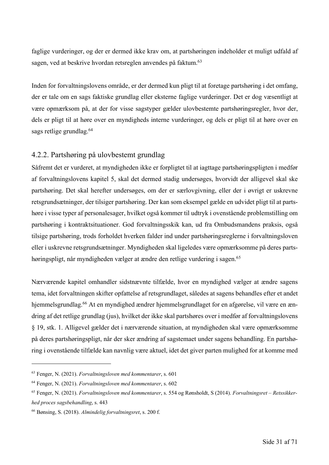faglige vurderinger, og der er dermed ikke krav om, at partshøringen indeholder et muligt udfald af sagen, ved at beskrive hvordan retsreglen anvendes på faktum.<sup>63</sup>

Inden for forvaltningslovens område, er der dermed kun pligt til at foretage partshøring i det omfang, der er tale om en sags faktiske grundlag eller eksterne faglige vurderinger. Det er dog væsentligt at være opmærksom på, at der for visse sagstyper gælder ulovbestemte partshøringsregler, hvor der, dels er pligt til at høre over en myndigheds interne vurderinger, og dels er pligt til at høre over en sags retlige grundlag.<sup>64</sup>

#### 4.2.2. Partshøring på ulovbestemt grundlag

Såfremt det er vurderet, at myndigheden ikke er forpligtet til at iagttage partshøringspligten i medfør af forvaltningslovens kapitel 5, skal det dermed stadig undersøges, hvorvidt der alligevel skal ske partshøring. Det skal herefter undersøges, om der er særlovgivning, eller der i øvrigt er uskrevne retsgrundsætninger, der tilsiger partshøring. Der kan som eksempel gælde en udvidet pligt til at partshøre i visse typer af personalesager, hvilket også kommer til udtryk i ovenstående problemstilling om partshøring i kontraktsituationer. God forvaltningsskik kan, ud fra Ombudsmandens praksis, også tilsige partshøring, trods forholdet hverken falder ind under partshøringsreglerne i forvaltningsloven eller i uskrevne retsgrundsætninger. Myndigheden skal ligeledes være opmærksomme på deres partshøringspligt, når myndigheden vælger at ændre den retlige vurdering i sagen.<sup>65</sup>

Nærværende kapitel omhandler sidstnævnte tilfælde, hvor en myndighed vælger at ændre sagens tema, idet forvaltningen skifter opfattelse af retsgrundlaget, således at sagens behandles efter et andet hjemmelsgrundlag.<sup>66</sup> At en myndighed ændrer hjemmelsgrundlaget for en afgørelse, vil være en ændring af det retlige grundlag (jus), hvilket der ikke skal partshøres over i medfør af forvaltningslovens § 19, stk. 1. Alligevel gælder det i nærværende situation, at myndigheden skal være opmærksomme på deres partshøringspligt, når der sker ændring af sagstemaet under sagens behandling. En partshøring i ovenstående tilfælde kan navnlig være aktuel, idet det giver parten mulighed for at komme med

<sup>63</sup> Fenger, N. (2021). *Forvaltningsloven med kommentarer*, s. 601

<sup>64</sup> Fenger, N. (2021). *Forvaltningsloven med kommentarer*, s. 602

<sup>65</sup> Fenger, N. (2021). *Forvaltningsloven med kommentarer*, s. 554 og Rønsholdt, S (2014). *Forvaltningsret – Retssikkerhed proces sagsbehandling*, s. 443

<sup>66</sup> Bønsing, S. (2018). *Almindelig forvaltningsret*, s. 200 f.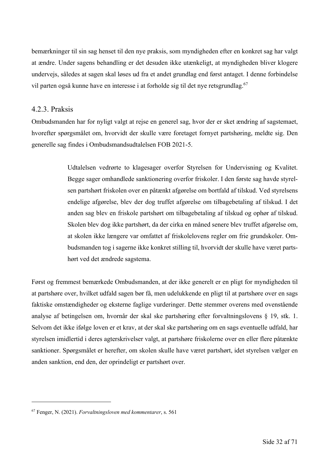bemærkninger til sin sag henset til den nye praksis, som myndigheden efter en konkret sag har valgt at ændre. Under sagens behandling er det desuden ikke utænkeligt, at myndigheden bliver klogere undervejs, således at sagen skal løses ud fra et andet grundlag end først antaget. I denne forbindelse vil parten også kunne have en interesse i at forholde sig til det nye retsgrundlag.<sup>67</sup>

#### 4.2.3. Praksis

Ombudsmanden har for nyligt valgt at rejse en generel sag, hvor der er sket ændring af sagstemaet, hvorefter spørgsmålet om, hvorvidt der skulle være foretaget fornyet partshøring, meldte sig. Den generelle sag findes i Ombudsmandsudtalelsen FOB 2021-5.

> Udtalelsen vedrørte to klagesager overfor Styrelsen for Undervisning og Kvalitet. Begge sager omhandlede sanktionering overfor friskoler. I den første sag havde styrelsen partshørt friskolen over en påtænkt afgørelse om bortfald af tilskud. Ved styrelsens endelige afgørelse, blev der dog truffet afgørelse om tilbagebetaling af tilskud. I det anden sag blev en friskole partshørt om tilbagebetaling af tilskud og ophør af tilskud. Skolen blev dog ikke partshørt, da der cirka en måned senere blev truffet afgørelse om, at skolen ikke længere var omfattet af friskolelovens regler om frie grundskoler. Ombudsmanden tog i sagerne ikke konkret stilling til, hvorvidt der skulle have været partshørt ved det ændrede sagstema.

Først og fremmest bemærkede Ombudsmanden, at der ikke generelt er en pligt for myndigheden til at partshøre over, hvilket udfald sagen bør få, men udelukkende en pligt til at partshøre over en sags faktiske omstændigheder og eksterne faglige vurderinger. Dette stemmer overens med ovenstående analyse af betingelsen om, hvornår der skal ske partshøring efter forvaltningslovens § 19, stk. 1. Selvom det ikke ifølge loven er et krav, at der skal ske partshøring om en sags eventuelle udfald, har styrelsen imidlertid i deres agterskrivelser valgt, at partshøre friskolerne over en eller flere påtænkte sanktioner. Spørgsmålet er herefter, om skolen skulle have været partshørt, idet styrelsen vælger en anden sanktion, end den, der oprindeligt er partshørt over.

<sup>67</sup> Fenger, N. (2021). *Forvaltningsloven med kommentarer*, s. 561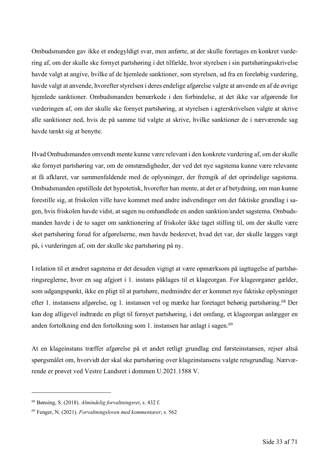Ombudsmanden gav ikke et endegyldigt svar, men anførte, at der skulle foretages en konkret vurdering af, om der skulle ske fornyet partshøring i det tilfælde, hvor styrelsen i sin partshøringsskrivelse havde valgt at angive, hvilke af de hjemlede sanktioner, som styrelsen, ud fra en foreløbig vurdering, havde valgt at anvende, hvorefter styrelsen i deres endelige afgørelse valgte at anvende en af de øvrige hjemlede sanktioner. Ombudsmanden bemærkede i den forbindelse, at det ikke var afgørende for vurderingen af, om der skulle ske fornyet partshøring, at styrelsen i agterskrivelsen valgte at skrive alle sanktioner ned, hvis de på samme tid valgte at skrive, hvilke sanktioner de i nærværende sag havde tænkt sig at benytte.

Hvad Ombudsmanden omvendt mente kunne være relevant i den konkrete vurdering af, om der skulle ske fornyet partshøring var, om de omstændigheder, der ved det nye sagstema kunne være relevante at få afklaret, var sammenfaldende med de oplysninger, der fremgik af det oprindelige sagstema. Ombudsmanden opstillede det hypotetisk, hvorefter han mente, at det er af betydning, om man kunne forestille sig, at friskolen ville have kommet med andre indvendinger om det faktiske grundlag i sagen, hvis friskolen havde vidst, at sagen nu omhandlede en anden sanktion/andet sagstema. Ombudsmanden havde i de to sager om sanktionering af friskoler ikke taget stilling til, om der skulle være sket partshøring forud for afgørelserne, men havde beskrevet, hvad det var, der skulle lægges vægt på, i vurderingen af, om der skulle ske partshøring på ny.

I relation til et ændret sagstema er det desuden vigtigt at være opmærksom på iagttagelse af partshøringsreglerne, hvor en sag afgjort i 1. instans påklages til et klageorgan. For klageorganer gælder, som udgangspunkt, ikke en pligt til at partshøre, medmindre der er kommet nye faktiske oplysninger efter 1. instansens afgørelse, og 1. instansen vel og mærke har foretaget behørig partshøring.68 Der kan dog alligevel indtræde en pligt til fornyet partshøring, i det omfang, et klageorgan anlægger en anden fortolkning end den fortolkning som 1. instansen har anlagt i sagen.<sup>69</sup>

At en klageinstans træffer afgørelse på et andet retligt grundlag end førsteinstansen, rejser altså spørgsmålet om, hvorvidt der skal ske partshøring over klageinstansens valgte retsgrundlag. Nærværende er prøvet ved Vestre Landsret i dommen U.2021.1588 V.

<sup>68</sup> Bønsing, S. (2018). *Almindelig forvaltningsret*, s. 432 f.

<sup>69</sup> Fenger, N. (2021). *Forvaltningsloven med kommentarer*, s. 562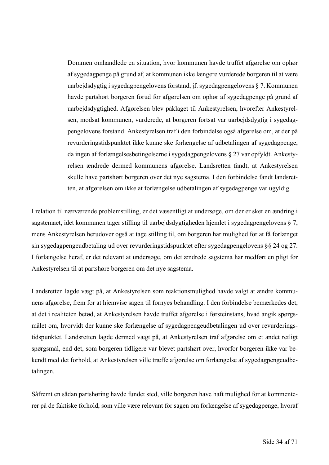Dommen omhandlede en situation, hvor kommunen havde truffet afgørelse om ophør af sygedagpenge på grund af, at kommunen ikke længere vurderede borgeren til at være uarbejdsdygtig i sygedagpengelovens forstand, jf. sygedagpengelovens § 7. Kommunen havde partshørt borgeren forud for afgørelsen om ophør af sygedagpenge på grund af uarbejdsdygtighed. Afgørelsen blev påklaget til Ankestyrelsen, hvorefter Ankestyrelsen, modsat kommunen, vurderede, at borgeren fortsat var uarbejdsdygtig i sygedagpengelovens forstand. Ankestyrelsen traf i den forbindelse også afgørelse om, at der på revurderingstidspunktet ikke kunne ske forlængelse af udbetalingen af sygedagpenge, da ingen af forlængelsesbetingelserne i sygedagpengelovens § 27 var opfyldt. Ankestyrelsen ændrede dermed kommunens afgørelse. Landsretten fandt, at Ankestyrelsen skulle have partshørt borgeren over det nye sagstema. I den forbindelse fandt landsretten, at afgørelsen om ikke at forlængelse udbetalingen af sygedagpenge var ugyldig.

I relation til nærværende problemstilling, er det væsentligt at undersøge, om der er sket en ændring i sagstemaet, idet kommunen tager stilling til uarbejdsdygtigheden hjemlet i sygedagpengelovens § 7, mens Ankestyrelsen herudover også at tage stilling til, om borgeren har mulighed for at få forlænget sin sygedagpengeudbetaling ud over revurderingstidspunktet efter sygedagpengelovens §§ 24 og 27. I forlængelse heraf, er det relevant at undersøge, om det ændrede sagstema har medført en pligt for Ankestyrelsen til at partshøre borgeren om det nye sagstema.

Landsretten lagde vægt på, at Ankestyrelsen som reaktionsmulighed havde valgt at ændre kommunens afgørelse, frem for at hjemvise sagen til fornyes behandling. I den forbindelse bemærkedes det, at det i realiteten betød, at Ankestyrelsen havde truffet afgørelse i førsteinstans, hvad angik spørgsmålet om, hvorvidt der kunne ske forlængelse af sygedagpengeudbetalingen ud over revurderingstidspunktet. Landsretten lagde dermed vægt på, at Ankestyrelsen traf afgørelse om et andet retligt spørgsmål, end det, som borgeren tidligere var blevet partshørt over, hvorfor borgeren ikke var bekendt med det forhold, at Ankestyrelsen ville træffe afgørelse om forlængelse af sygedagpengeudbetalingen.

Såfremt en sådan partshøring havde fundet sted, ville borgeren have haft mulighed for at kommenterer på de faktiske forhold, som ville være relevant for sagen om forlængelse af sygedagpenge, hvoraf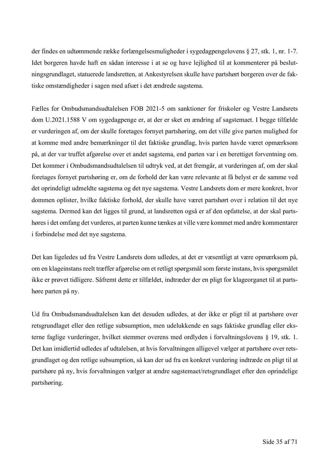der findes en udtømmende række forlængelsesmuligheder i sygedagpengelovens § 27, stk. 1, nr. 1-7. Idet borgeren havde haft en sådan interesse i at se og have lejlighed til at kommenterer på beslutningsgrundlaget, statuerede landsretten, at Ankestyrelsen skulle have partshørt borgeren over de faktiske omstændigheder i sagen med afsæt i det ændrede sagstema.

Fælles for Ombudsmandsudtalelsen FOB 2021-5 om sanktioner for friskoler og Vestre Landsrets dom U.2021.1588 V om sygedagpenge er, at der er sket en ændring af sagstemaet. I begge tilfælde er vurderingen af, om der skulle foretages fornyet partshøring, om det ville give parten mulighed for at komme med andre bemærkninger til det faktiske grundlag, hvis parten havde været opmærksom på, at der var truffet afgørelse over et andet sagstema, end parten var i en berettiget forventning om. Det kommer i Ombudsmandsudtalelsen til udtryk ved, at det fremgår, at vurderingen af, om der skal foretages fornyet partshøring er, om de forhold der kan være relevante at få belyst er de samme ved det oprindeligt udmeldte sagstema og det nye sagstema. Vestre Landsrets dom er mere konkret, hvor dommen oplister, hvilke faktiske forhold, der skulle have været partshørt over i relation til det nye sagstema. Dermed kan det ligges til grund, at landsretten også er af den opfattelse, at der skal partshøres i det omfang det vurderes, at parten kunne tænkes at ville være kommet med andre kommentarer i forbindelse med det nye sagstema.

Det kan ligeledes ud fra Vestre Landsrets dom udledes, at det er væsentligt at være opmærksom på, om en klageinstans reelt træffer afgørelse om et retligt spørgsmål som første instans, hvis spørgsmålet ikke er prøvet tidligere. Såfremt dette er tilfældet, indtræder der en pligt for klageorganet til at partshøre parten på ny.

Ud fra Ombudsmandsudtalelsen kan det desuden udledes, at der ikke er pligt til at partshøre over retsgrundlaget eller den retlige subsumption, men udelukkende en sags faktiske grundlag eller eksterne faglige vurderinger, hvilket stemmer overens med ordlyden i forvaltningslovens § 19, stk. 1. Det kan imidlertid udledes af udtalelsen, at hvis forvaltningen alligevel vælger at partshøre over retsgrundlaget og den retlige subsumption, så kan der ud fra en konkret vurdering indtræde en pligt til at partshøre på ny, hvis forvaltningen vælger at ændre sagstemaet/retsgrundlaget efter den oprindelige partshøring.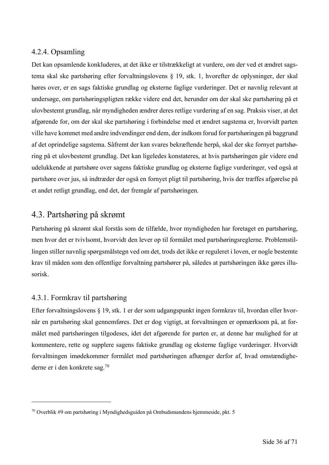#### 4.2.4. Opsamling

Det kan opsamlende konkluderes, at det ikke er tilstrækkeligt at vurdere, om der ved et ændret sagstema skal ske partshøring efter forvaltningslovens § 19, stk. 1, hvorefter de oplysninger, der skal høres over, er en sags faktiske grundlag og eksterne faglige vurderinger. Det er navnlig relevant at undersøge, om partshøringspligten række videre end det, herunder om der skal ske partshøring på et ulovbestemt grundlag, når myndigheden ændrer deres retlige vurdering af en sag. Praksis viser, at det afgørende for, om der skal ske partshøring i forbindelse med et ændret sagstema er, hvorvidt parten ville have kommet med andre indvendinger end dem, der indkom forud for partshøringen på baggrund af det oprindelige sagstema. Såfremt der kan svares bekræftende herpå, skal der ske fornyet partshøring på et ulovbestemt grundlag. Det kan ligeledes konstateres, at hvis partshøringen går videre end udelukkende at partshøre over sagens faktiske grundlag og eksterne faglige vurderinger, ved også at partshøre over jus, så indtræder der også en fornyet pligt til partshøring, hvis der træffes afgørelse på et andet retligt grundlag, end det, der fremgår af partshøringen.

## 4.3. Partshøring på skrømt

Partshøring på skrømt skal forstås som de tilfælde, hvor myndigheden har foretaget en partshøring, men hvor det er tvivlsomt, hvorvidt den lever op til formålet med partshøringsreglerne. Problemstillingen stiller navnlig spørgsmålstegn ved om det, trods det ikke er reguleret i loven, er nogle bestemte krav til måden som den offentlige forvaltning partshører på, således at partshøringen ikke gøres illusorisk.

#### 4.3.1. Formkrav til partshøring

Efter forvaltningslovens § 19, stk. 1 er der som udgangspunkt ingen formkrav til, hvordan eller hvornår en partshøring skal gennemføres. Det er dog vigtigt, at forvaltningen er opmærksom på, at formålet med partshøringen tilgodeses, idet det afgørende for parten er, at denne har mulighed for at kommentere, rette og supplere sagens faktiske grundlag og eksterne faglige vurderinger. Hvorvidt forvaltningen imødekommer formålet med partshøringen afhænger derfor af, hvad omstændighederne er i den konkrete sag.70

<sup>70</sup> Overblik #9 om partshøring i Myndighedsguiden på Ombudsmandens hjemmeside, pkt. 5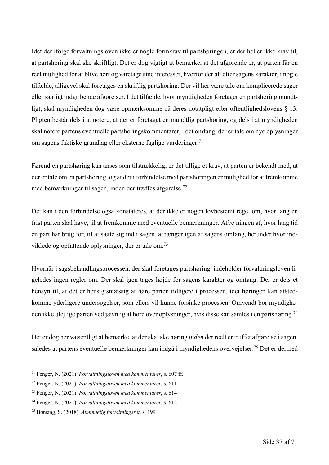Idet der ifølge forvaltningsloven ikke er nogle formkrav til partshøringen, er der heller ikke krav til, at partshøring skal ske skriftligt. Det er dog vigtigt at bemærke, at det afgørende er, at parten får en reel mulighed for at blive hørt og varetage sine interesser, hvorfor der alt efter sagens karakter, i nogle tilfælde, alligevel skal foretages en skriftlig partshøring. Der vil her være tale om komplicerede sager eller særligt indgribende afgørelser. I det tilfælde, hvor myndigheden foretager en partshøring mundtligt, skal myndigheden dog være opmærksomme på deres notatpligt efter offentlighedslovens § 13. Pligten består dels i at notere, at der er foretaget en mundtlig partshøring, og dels i at myndigheden skal notere partens eventuelle partshøringskommentarer, i det omfang, der er tale om nye oplysninger om sagens faktiske grundlag eller eksterne faglige vurderinger. 71

Førend en partshøring kan anses som tilstrækkelig, er det tillige et krav, at parten er bekendt med, at der er tale om en partshøring, og at der i forbindelse med partshøringen er mulighed for at fremkomme med bemærkninger til sagen, inden der træffes afgørelse.72

Det kan i den forbindelse også konstateres, at der ikke er nogen lovbestemt regel om, hvor lang en frist parten skal have, til at fremkomme med eventuelle bemærkninger. Afvejningen af, hvor lang tid en part har brug for, til at sætte sig ind i sagen, afhænger igen af sagens omfang, herunder hvor indviklede og opfattende oplysninger, der er tale om.73

Hvornår i sagsbehandlingsprocessen, der skal foretages partshøring, indeholder forvaltningsloven ligeledes ingen regler om. Der skal igen tages højde for sagens karakter og omfang. Der er dels et hensyn til, at det er hensigtsmæssig at høre parten tidligere i processen, idet høringen kan afstedkomme yderligere undersøgelser, som ellers vil kunne forsinke processen. Omvendt bør myndigheden ikke ulejlige parten ved jævnlig at høre over oplysninger, hvis disse kan samles i en partshøring.74

Det er dog her væsentligt at bemærke, at der skal ske høring *inden* der reelt er truffet afgørelse i sagen, således at partens eventuelle bemærkninger kan indgå i myndighedens overvejelser. <sup>75</sup> Det er dermed

<sup>71</sup> Fenger, N. (2021). *Forvaltningsloven med kommentarer*, s. 607 ff.

<sup>72</sup> Fenger, N. (2021). *Forvaltningsloven med kommentarer*, s. 611

<sup>73</sup> Fenger, N. (2021). *Forvaltningsloven med kommentarer*, s. 614

<sup>74</sup> Fenger, N. (2021). *Forvaltningsloven med kommentarer*, s. 612

<sup>75</sup> Bønsing, S. (2018). *Almindelig forvaltningsret*, s. 199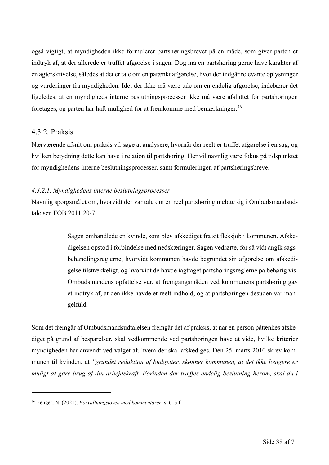også vigtigt, at myndigheden ikke formulerer partshøringsbrevet på en måde, som giver parten et indtryk af, at der allerede er truffet afgørelse i sagen. Dog må en partshøring gerne have karakter af en agterskrivelse, således at det er tale om en påtænkt afgørelse, hvor der indgår relevante oplysninger og vurderinger fra myndigheden. Idet der ikke må være tale om en endelig afgørelse, indebærer det ligeledes, at en myndigheds interne beslutningsprocesser ikke må være afsluttet før partshøringen foretages, og parten har haft mulighed for at fremkomme med bemærkninger.<sup>76</sup>

#### 4.3.2. Praksis

Nærværende afsnit om praksis vil søge at analysere, hvornår der reelt er truffet afgørelse i en sag, og hvilken betydning dette kan have i relation til partshøring. Her vil navnlig være fokus på tidspunktet for myndighedens interne beslutningsprocesser, samt formuleringen af partshøringsbreve.

#### *4.3.2.1. Myndighedens interne beslutningsprocesser*

Navnlig spørgsmålet om, hvorvidt der var tale om en reel partshøring meldte sig i Ombudsmandsudtalelsen FOB 2011 20-7.

> Sagen omhandlede en kvinde, som blev afskediget fra sit fleksjob i kommunen. Afskedigelsen opstod i forbindelse med nedskæringer. Sagen vedrørte, for så vidt angik sagsbehandlingsreglerne, hvorvidt kommunen havde begrundet sin afgørelse om afskedigelse tilstrækkeligt, og hvorvidt de havde iagttaget partshøringsreglerne på behørig vis. Ombudsmandens opfattelse var, at fremgangsmåden ved kommunens partshøring gav et indtryk af, at den ikke havde et reelt indhold, og at partshøringen desuden var mangelfuld.

Som det fremgår af Ombudsmandsudtalelsen fremgår det af praksis, at når en person påtænkes afskediget på grund af besparelser, skal vedkommende ved partshøringen have at vide, hvilke kriterier myndigheden har anvendt ved valget af, hvem der skal afskediges. Den 25. marts 2010 skrev kommunen til kvinden, at *"grundet reduktion af budgetter, skønner kommunen, at det ikke længere er muligt at gøre brug af din arbejdskraft. Forinden der træffes endelig beslutning herom, skal du i* 

<sup>76</sup> Fenger, N. (2021). *Forvaltningsloven med kommentarer*, s. 613 f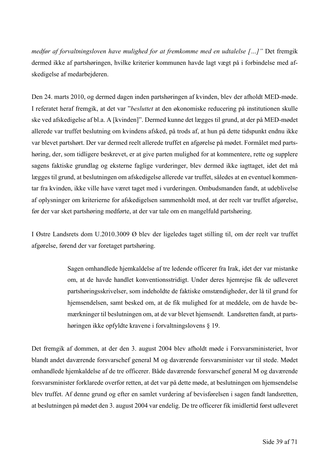*medfør af forvaltningsloven have mulighed for at fremkomme med en udtalelse […]"* Det fremgik dermed ikke af partshøringen, hvilke kriterier kommunen havde lagt vægt på i forbindelse med afskedigelse af medarbejderen.

Den 24. marts 2010, og dermed dagen inden partshøringen af kvinden, blev der afholdt MED-møde. I referatet heraf fremgik, at det var "*besluttet* at den økonomiske reducering på institutionen skulle ske ved afskedigelse af bl.a. A [kvinden]". Dermed kunne det lægges til grund, at der på MED-mødet allerede var truffet beslutning om kvindens afsked, på trods af, at hun på dette tidspunkt endnu ikke var blevet partshørt. Der var dermed reelt allerede truffet en afgørelse på mødet. Formålet med partshøring, der, som tidligere beskrevet, er at give parten mulighed for at kommentere, rette og supplere sagens faktiske grundlag og eksterne faglige vurderinger, blev dermed ikke iagttaget, idet det må lægges til grund, at beslutningen om afskedigelse allerede var truffet, således at en eventuel kommentar fra kvinden, ikke ville have været taget med i vurderingen. Ombudsmanden fandt, at udeblivelse af oplysninger om kriterierne for afskedigelsen sammenholdt med, at der reelt var truffet afgørelse, før der var sket partshøring medførte, at der var tale om en mangelfuld partshøring.

I Østre Landsrets dom U.2010.3009 Ø blev der ligeledes taget stilling til, om der reelt var truffet afgørelse, førend der var foretaget partshøring.

> Sagen omhandlede hjemkaldelse af tre ledende officerer fra Irak, idet der var mistanke om, at de havde handlet konventionsstridigt. Under deres hjemrejse fik de udleveret partshøringsskrivelser, som indeholdte de faktiske omstændigheder, der lå til grund for hjemsendelsen, samt besked om, at de fik mulighed for at meddele, om de havde bemærkninger til beslutningen om, at de var blevet hjemsendt. Landsretten fandt, at partshøringen ikke opfyldte kravene i forvaltningslovens § 19.

Det fremgik af dommen, at der den 3. august 2004 blev afholdt møde i Forsvarsministeriet, hvor blandt andet daværende forsvarschef general M og daværende forsvarsminister var til stede. Mødet omhandlede hjemkaldelse af de tre officerer. Både daværende forsvarschef general M og daværende forsvarsminister forklarede overfor retten, at det var på dette møde, at beslutningen om hjemsendelse blev truffet. Af denne grund og efter en samlet vurdering af bevisførelsen i sagen fandt landsretten, at beslutningen på mødet den 3. august 2004 var endelig. De tre officerer fik imidlertid først udleveret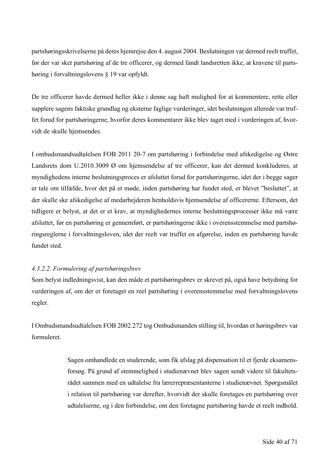partshøringsskrivelserne på deres hjemrejse den 4. august 2004. Beslutningen var dermed reelt truffet, før der var sket partshøring af de tre officerer, og dermed fandt landsretten ikke, at kravene til partshøring i forvaltningslovens § 19 var opfyldt.

De tre officerer havde dermed heller ikke i denne sag haft mulighed for at kommentere, rette eller supplere sagens faktiske grundlag og eksterne faglige vurderinger, idet beslutningen allerede var truffet forud for partshøringerne, hvorfor deres kommentarer ikke blev taget med i vurderingen af, hvorvidt de skulle hjemsendes.

I ombudsmandsudtalelsen FOB 2011 20-7 om partshøring i forbindelse med afskedigelse og Østre Landsrets dom U.2010.3009 Ø om hjemsendelse af tre officerer, kan det dermed konkluderes, at myndighedens interne beslutningsproces er afsluttet forud for partshøringerne, idet der i begge sager er tale om tilfælde, hvor det på et møde, inden partshøring har fundet sted, er blevet "besluttet", at der skulle ske afskedigelse af medarbejderen henholdsvis hjemsendelse af officererne. Eftersom, det tidligere er belyst, at det er et krav, at myndighedernes interne beslutningsprocesser ikke må være afsluttet, før en partshøring er gennemført, er partshøringerne ikke i overensstemmelse med partshøringsreglerne i forvaltningsloven, idet der reelt var truffet en afgørelse, inden en partshøring havde fundet sted.

#### *4.3.2.2. Formulering af partshøringsbrev*

Som belyst indledningsvist, kan den måde et partshøringsbrev er skrevet på, også have betydning for vurderingen af, om der er foretaget en reel partshøring i overensstemmelse med forvaltningslovens regler.

I Ombudsmandsudtalelsen FOB 2002.272 tog Ombudsmanden stilling til, hvordan et høringsbrev var formuleret.

> Sagen omhandlede en studerende, som fik afslag på dispensation til et fjerde eksamensforsøg. På grund af stemmelighed i studienævnet blev sagen sendt videre til fakultetsrådet sammen med en udtalelse fra lærerrepræsentanterne i studienævnet. Spørgsmålet i relation til partshøring var derefter, hvorvidt der skulle foretages en partshøring over udtalelserne, og i den forbindelse, om den foretagne partshøring havde et reelt indhold.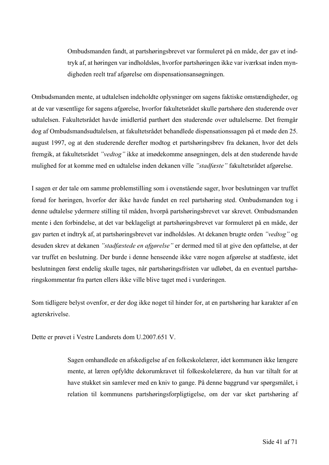Ombudsmanden fandt, at partshøringsbrevet var formuleret på en måde, der gav et indtryk af, at høringen var indholdsløs, hvorfor partshøringen ikke var iværksat inden myndigheden reelt traf afgørelse om dispensationsansøgningen.

Ombudsmanden mente, at udtalelsen indeholdte oplysninger om sagens faktiske omstændigheder, og at de var væsentlige for sagens afgørelse, hvorfor fakultetsrådet skulle partshøre den studerende over udtalelsen. Fakultetsrådet havde imidlertid parthørt den studerende over udtalelserne. Det fremgår dog af Ombudsmandsudtalelsen, at fakultetsrådet behandlede dispensationssagen på et møde den 25. august 1997, og at den studerende derefter modtog et partshøringsbrev fra dekanen, hvor det dels fremgik, at fakultetsrådet *"vedtog"* ikke at imødekomme ansøgningen, dels at den studerende havde mulighed for at komme med en udtalelse inden dekanen ville *"stadfæste"* fakultetsrådet afgørelse.

I sagen er der tale om samme problemstilling som i ovenstående sager, hvor beslutningen var truffet forud for høringen, hvorfor der ikke havde fundet en reel partshøring sted. Ombudsmanden tog i denne udtalelse ydermere stilling til måden, hvorpå partshøringsbrevet var skrevet. Ombudsmanden mente i den forbindelse, at det var beklageligt at partshøringsbrevet var formuleret på en måde, der gav parten et indtryk af, at partshøringsbrevet var indholdsløs. At dekanen brugte orden *"vedtog"* og desuden skrev at dekanen *"stadfæstede en afgørelse"* er dermed med til at give den opfattelse, at der var truffet en beslutning. Der burde i denne henseende ikke være nogen afgørelse at stadfæste, idet beslutningen først endelig skulle tages, når partshøringsfristen var udløbet, da en eventuel partshøringskommentar fra parten ellers ikke ville blive taget med i vurderingen.

Som tidligere belyst ovenfor, er der dog ikke noget til hinder for, at en partshøring har karakter af en agterskrivelse.

Dette er prøvet i Vestre Landsrets dom U.2007.651 V.

Sagen omhandlede en afskedigelse af en folkeskolelærer, idet kommunen ikke længere mente, at læren opfyldte dekorumkravet til folkeskolelærere, da hun var tiltalt for at have stukket sin samlever med en kniv to gange. På denne baggrund var spørgsmålet, i relation til kommunens partshøringsforpligtigelse, om der var sket partshøring af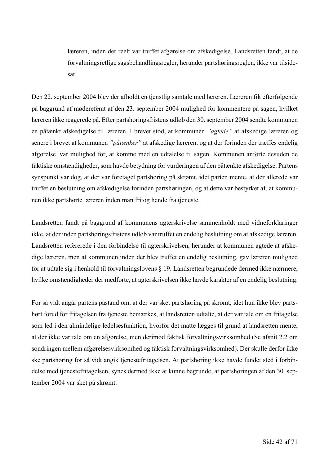læreren, inden der reelt var truffet afgørelse om afskedigelse. Landsretten fandt, at de forvaltningsretlige sagsbehandlingsregler, herunder partshøringsreglen, ikke var tilsidesat.

Den 22. september 2004 blev der afholdt en tjenstlig samtale med læreren. Læreren fik efterfølgende på baggrund af mødereferat af den 23. september 2004 mulighed for kommentere på sagen, hvilket læreren ikke reagerede på. Efter partshøringsfristens udløb den 30. september 2004 sendte kommunen en påtænkt afskedigelse til læreren. I brevet stod, at kommunen *"agtede"* at afskedige læreren og senere i brevet at kommunen *"påtænker"* at afskedige læreren, og at der forinden der træffes endelig afgørelse, var mulighed for, at komme med en udtalelse til sagen. Kommunen anførte desuden de faktiske omstændigheder, som havde betydning for vurderingen af den påtænkte afskedigelse. Partens synspunkt var dog, at der var foretaget partshøring på skrømt, idet parten mente, at der allerede var truffet en beslutning om afskedigelse forinden partshøringen, og at dette var bestyrket af, at kommunen ikke partshørte læreren inden man fritog hende fra tjeneste.

Landsretten fandt på baggrund af kommunens agterskrivelse sammenholdt med vidneforklaringer ikke, at der inden partshøringsfristens udløb var truffet en endelig beslutning om at afskedige læreren. Landsretten refererede i den forbindelse til agterskrivelsen, herunder at kommunen agtede at afskedige læreren, men at kommunen inden der blev truffet en endelig beslutning, gav læreren mulighed for at udtale sig i henhold til forvaltningslovens § 19. Landsretten begrundede dermed ikke nærmere, hvilke omstændigheder der medførte, at agterskrivelsen ikke havde karakter af en endelig beslutning.

For så vidt angår partens påstand om, at der var sket partshøring på skrømt, idet hun ikke blev partshørt forud for fritagelsen fra tjeneste bemærkes, at landsretten udtalte, at der var tale om en fritagelse som led i den almindelige ledelsesfunktion, hvorfor det måtte lægges til grund at landsretten mente, at der ikke var tale om en afgørelse, men derimod faktisk forvaltningsvirksomhed (Se afsnit 2.2 om sondringen mellem afgørelsesvirksomhed og faktisk forvaltningsvirksomhed). Der skulle derfor ikke ske partshøring for så vidt angik tjenestefritagelsen. At partshøring ikke havde fundet sted i forbindelse med tjenestefritagelsen, synes dermed ikke at kunne begrunde, at partshøringen af den 30. september 2004 var sket på skrømt.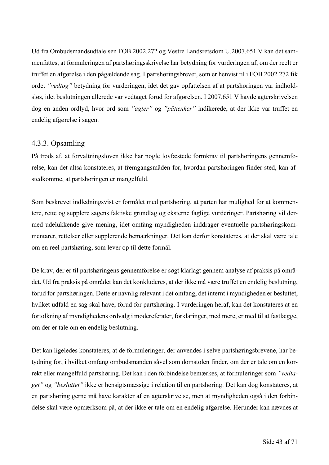Ud fra Ombudsmandsudtalelsen FOB 2002.272 og Vestre Landsretsdom U.2007.651 V kan det sammenfattes, at formuleringen af partshøringsskrivelse har betydning for vurderingen af, om der reelt er truffet en afgørelse i den pågældende sag. I partshøringsbrevet, som er henvist til i FOB 2002.272 fik ordet *"vedtog"* betydning for vurderingen, idet det gav opfattelsen af at partshøringen var indholdsløs, idet beslutningen allerede var vedtaget forud for afgørelsen. I 2007.651 V havde agterskrivelsen dog en anden ordlyd, hvor ord som *"agter"* og *"påtænker"* indikerede, at der ikke var truffet en endelig afgørelse i sagen.

#### 4.3.3. Opsamling

På trods af, at forvaltningsloven ikke har nogle lovfæstede formkrav til partshøringens gennemførelse, kan det altså konstateres, at fremgangsmåden for, hvordan partshøringen finder sted, kan afstedkomme, at partshøringen er mangelfuld.

Som beskrevet indledningsvist er formålet med partshøring, at parten har mulighed for at kommentere, rette og supplere sagens faktiske grundlag og eksterne faglige vurderinger. Partshøring vil dermed udelukkende give mening, idet omfang myndigheden inddrager eventuelle partshøringskommentarer, rettelser eller supplerende bemærkninger. Det kan derfor konstateres, at der skal være tale om en reel partshøring, som lever op til dette formål.

De krav, der er til partshøringens gennemførelse er søgt klarlagt gennem analyse af praksis på området. Ud fra praksis på området kan det konkluderes, at der ikke må være truffet en endelig beslutning, forud for partshøringen. Dette er navnlig relevant i det omfang, det internt i myndigheden er besluttet, hvilket udfald en sag skal have, forud for partshøring. I vurderingen heraf, kan det konstateres at en fortolkning af myndighedens ordvalg i mødereferater, forklaringer, med mere, er med til at fastlægge, om der er tale om en endelig beslutning.

Det kan ligeledes konstateres, at de formuleringer, der anvendes i selve partshøringsbrevene, har betydning for, i hvilket omfang ombudsmanden såvel som domstolen finder, om der er tale om en korrekt eller mangelfuld partshøring. Det kan i den forbindelse bemærkes, at formuleringer som *"vedtaget"* og *"besluttet"* ikke er hensigtsmæssige i relation til en partshøring. Det kan dog konstateres, at en partshøring gerne må have karakter af en agterskrivelse, men at myndigheden også i den forbindelse skal være opmærksom på, at der ikke er tale om en endelig afgørelse. Herunder kan nævnes at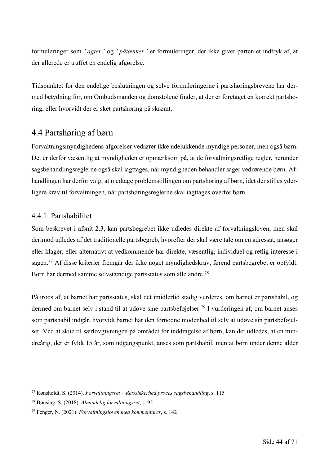formuleringer som *"agter"* og *"påtænker"* er formuleringer, der ikke giver parten et indtryk af, at der allerede er truffet en endelig afgørelse.

Tidspunktet for den endelige beslutningen og selve formuleringerne i partshøringsbrevene har dermed betydning for, om Ombudsmanden og domstolene finder, at der er foretaget en korrekt partshøring, eller hvorvidt der er sket partshøring på skrømt.

### 4.4 Partshøring af børn

Forvaltningsmyndighedens afgørelser vedrører ikke udelukkende myndige personer, men også børn. Det er derfor væsentlig at myndigheden er opmærksom på, at de forvaltningsretlige regler, herunder sagsbehandlingsreglerne også skal iagttages, når myndigheden behandler sager vedrørende børn. Afhandlingen har derfor valgt at medtage problemstillingen om partshøring af børn, idet der stilles yderligere krav til forvaltningen, når partshøringsreglerne skal iagttages overfor børn.

#### 4.4.1. Partshabilitet

Som beskrevet i afsnit 2.3, kan partsbegrebet ikke udledes direkte af forvaltningsloven, men skal derimod udledes af det traditionelle partsbegreb, hvorefter der skal være tale om en adressat, ansøger eller klager, eller alternativt at vedkommende har direkte, væsentlig, individuel og retlig interesse i sagen.<sup>77</sup> Af disse kriterier fremgår der ikke noget myndighedskrav, førend partsbegrebet er opfyldt. Børn har dermed samme selvstændige partsstatus som alle andre.78

På trods af, at barnet har partsstatus, skal det imidlertid stadig vurderes, om barnet er partshabil, og dermed om barnet selv i stand til at udøve sine partsbeføjelser.<sup>79</sup> I vurderingen af, om barnet anses som partshabil indgår, hvorvidt barnet har den fornødne modenhed til selv at udøve sin partsbeføjelser. Ved at skue til særlovgivningen på området for inddragelse af børn, kan det udledes, at en mindreårig, der er fyldt 15 år, som udgangspunkt, anses som partshabil, men at børn under denne alder

<sup>77</sup> Rønsholdt, S. (2014). *Forvaltningsret – Retssikkerhed proces sagsbehandling*, s. 115

<sup>78</sup> Bønsing, S. (2018). *Almindelig forvaltningsret*, s. 92

<sup>79</sup> Fenger, N. (2021). *Forvaltningsloven med kommentarer*, s. 142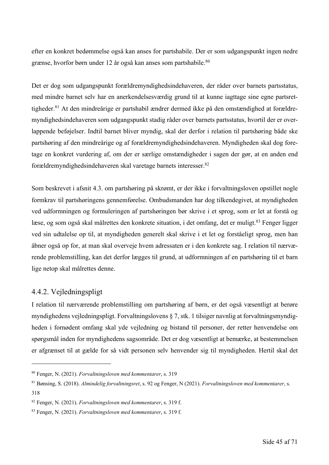efter en konkret bedømmelse også kan anses for partshabile. Der er som udgangspunkt ingen nedre grænse, hvorfor børn under 12 år også kan anses som partshabile.<sup>80</sup>

Det er dog som udgangspunkt forældremyndighedsindehaveren, der råder over barnets partsstatus, med mindre barnet selv har en anerkendelsesværdig grund til at kunne iagttage sine egne partsrettigheder.<sup>81</sup> At den mindreårige er partshabil ændrer dermed ikke på den omstændighed at forældremyndighedsindehaveren som udgangspunkt stadig råder over barnets partsstatus, hvortil der er overlappende beføjelser. Indtil barnet bliver myndig, skal der derfor i relation til partshøring både ske partshøring af den mindreårige og af forældremyndighedsindehaveren. Myndigheden skal dog foretage en konkret vurdering af, om der er særlige omstændigheder i sagen der gør, at en anden end forældremyndighedsindehaveren skal varetage barnets interesser.82

Som beskrevet i afsnit 4.3. om partshøring på skrømt, er der ikke i forvaltningsloven opstillet nogle formkrav til partshøringens gennemførelse. Ombudsmanden har dog tilkendegivet, at myndigheden ved udformningen og formuleringen af partshøringen bør skrive i et sprog, som er let at forstå og læse, og som også skal målrettes den konkrete situation, i det omfang, det er muligt.<sup>83</sup> Fenger ligger ved sin udtalelse op til, at myndigheden generelt skal skrive i et let og forståeligt sprog, men han åbner også op for, at man skal overveje hvem adressaten er i den konkrete sag. I relation til nærværende problemstilling, kan det derfor lægges til grund, at udformningen af en partshøring til et barn lige netop skal målrettes denne.

#### 4.4.2. Vejledningspligt

I relation til nærværende problemstilling om partshøring af børn, er det også væsentligt at berøre myndighedens vejledningspligt. Forvaltningslovens § 7, stk. 1 tilsiger navnlig at forvaltningsmyndigheden i fornødent omfang skal yde vejledning og bistand til personer, der retter henvendelse om spørgsmål inden for myndighedens sagsområde. Det er dog væsentligt at bemærke, at bestemmelsen er afgrænset til at gælde for så vidt personen selv henvender sig til myndigheden. Hertil skal det

<sup>80</sup> Fenger, N. (2021). *Forvaltningsloven med kommentarer*, s. 319

<sup>81</sup> Bønsing, S. (2018). *Almindelig forvaltningsret*, s. 92 og Fenger, N (2021). *Forvaltningsloven med kommentarer*, s. 318

<sup>82</sup> Fenger, N. (2021). *Forvaltningsloven med kommentarer*, s. 319 f.

<sup>83</sup> Fenger, N. (2021). *Forvaltningsloven med kommentarer*, s. 319 f.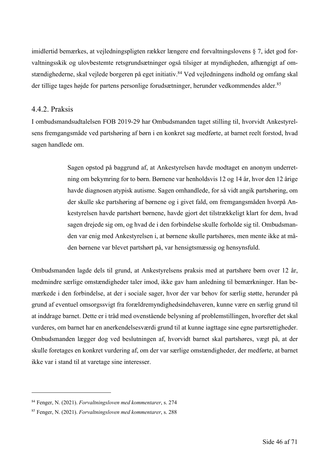imidlertid bemærkes, at vejledningspligten rækker længere end forvaltningslovens § 7, idet god forvaltningsskik og ulovbestemte retsgrundsætninger også tilsiger at myndigheden, afhængigt af omstændighederne, skal vejlede borgeren på eget initiativ. <sup>84</sup> Ved vejledningens indhold og omfang skal der tillige tages højde for partens personlige forudsætninger, herunder vedkommendes alder.<sup>85</sup>

#### 4.4.2. Praksis

I ombudsmandsudtalelsen FOB 2019-29 har Ombudsmanden taget stilling til, hvorvidt Ankestyrelsens fremgangsmåde ved partshøring af børn i en konkret sag medførte, at barnet reelt forstod, hvad sagen handlede om.

> Sagen opstod på baggrund af, at Ankestyrelsen havde modtaget en anonym underretning om bekymring for to børn. Børnene var henholdsvis 12 og 14 år, hvor den 12 årige havde diagnosen atypisk autisme. Sagen omhandlede, for så vidt angik partshøring, om der skulle ske partshøring af børnene og i givet fald, om fremgangsmåden hvorpå Ankestyrelsen havde partshørt børnene, havde gjort det tilstrækkeligt klart for dem, hvad sagen drejede sig om, og hvad de i den forbindelse skulle forholde sig til. Ombudsmanden var enig med Ankestyrelsen i, at børnene skulle partshøres, men mente ikke at måden børnene var blevet partshørt på, var hensigtsmæssig og hensynsfuld.

Ombudsmanden lagde dels til grund, at Ankestyrelsens praksis med at partshøre børn over 12 år, medmindre særlige omstændigheder taler imod, ikke gav ham anledning til bemærkninger. Han bemærkede i den forbindelse, at der i sociale sager, hvor der var behov for særlig støtte, herunder på grund af eventuel omsorgssvigt fra forældremyndighedsindehaveren, kunne være en særlig grund til at inddrage barnet. Dette er i tråd med ovenstående belysning af problemstillingen, hvorefter det skal vurderes, om barnet har en anerkendelsesværdi grund til at kunne iagttage sine egne partsrettigheder. Ombudsmanden lægger dog ved beslutningen af, hvorvidt barnet skal partshøres, vægt på, at der skulle foretages en konkret vurdering af, om der var særlige omstændigheder, der medførte, at barnet ikke var i stand til at varetage sine interesser.

<sup>84</sup> Fenger, N. (2021). *Forvaltningsloven med kommentarer*, s. 274

<sup>85</sup> Fenger, N. (2021). *Forvaltningsloven med kommentarer*, s. 288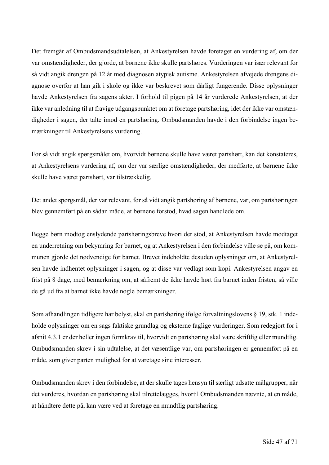Det fremgår af Ombudsmandsudtalelsen, at Ankestyrelsen havde foretaget en vurdering af, om der var omstændigheder, der gjorde, at børnene ikke skulle partshøres. Vurderingen var især relevant for så vidt angik drengen på 12 år med diagnosen atypisk autisme. Ankestyrelsen afvejede drengens diagnose overfor at han gik i skole og ikke var beskrevet som dårligt fungerende. Disse oplysninger havde Ankestyrelsen fra sagens akter. I forhold til pigen på 14 år vurderede Ankestyrelsen, at der ikke var anledning til at fravige udgangspunktet om at foretage partshøring, idet der ikke var omstændigheder i sagen, der talte imod en partshøring. Ombudsmanden havde i den forbindelse ingen bemærkninger til Ankestyrelsens vurdering.

For så vidt angik spørgsmålet om, hvorvidt børnene skulle have været partshørt, kan det konstateres, at Ankestyrelsens vurdering af, om der var særlige omstændigheder, der medførte, at børnene ikke skulle have været partshørt, var tilstrækkelig.

Det andet spørgsmål, der var relevant, for så vidt angik partshøring af børnene, var, om partshøringen blev gennemført på en sådan måde, at børnene forstod, hvad sagen handlede om.

Begge børn modtog enslydende partshøringsbreve hvori der stod, at Ankestyrelsen havde modtaget en underretning om bekymring for barnet, og at Ankestyrelsen i den forbindelse ville se på, om kommunen gjorde det nødvendige for barnet. Brevet indeholdte desuden oplysninger om, at Ankestyrelsen havde indhentet oplysninger i sagen, og at disse var vedlagt som kopi. Ankestyrelsen angav en frist på 8 dage, med bemærkning om, at såfremt de ikke havde hørt fra barnet inden fristen, så ville de gå ud fra at barnet ikke havde nogle bemærkninger.

Som afhandlingen tidligere har belyst, skal en partshøring ifølge forvaltningslovens § 19, stk. 1 indeholde oplysninger om en sags faktiske grundlag og eksterne faglige vurderinger. Som redegjort for i afsnit 4.3.1 er der heller ingen formkrav til, hvorvidt en partshøring skal være skriftlig eller mundtlig. Ombudsmanden skrev i sin udtalelse, at det væsentlige var, om partshøringen er gennemført på en måde, som giver parten mulighed for at varetage sine interesser.

Ombudsmanden skrev i den forbindelse, at der skulle tages hensyn til særligt udsatte målgrupper, når det vurderes, hvordan en partshøring skal tilrettelægges, hvortil Ombudsmanden nævnte, at en måde, at håndtere dette på, kan være ved at foretage en mundtlig partshøring.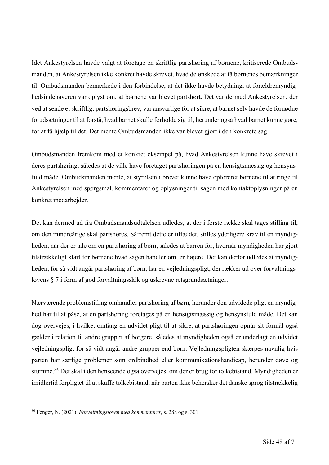Idet Ankestyrelsen havde valgt at foretage en skriftlig partshøring af børnene, kritiserede Ombudsmanden, at Ankestyrelsen ikke konkret havde skrevet, hvad de ønskede at få børnenes bemærkninger til. Ombudsmanden bemærkede i den forbindelse, at det ikke havde betydning, at forældremyndighedsindehaveren var oplyst om, at børnene var blevet partshørt. Det var dermed Ankestyrelsen, der ved at sende et skriftligt partshøringsbrev, var ansvarlige for at sikre, at barnet selv havde de fornødne forudsætninger til at forstå, hvad barnet skulle forholde sig til, herunder også hvad barnet kunne gøre, for at få hjælp til det. Det mente Ombudsmanden ikke var blevet gjort i den konkrete sag.

Ombudsmanden fremkom med et konkret eksempel på, hvad Ankestyrelsen kunne have skrevet i deres partshøring, således at de ville have foretaget partshøringen på en hensigtsmæssig og hensynsfuld måde. Ombudsmanden mente, at styrelsen i brevet kunne have opfordret børnene til at ringe til Ankestyrelsen med spørgsmål, kommentarer og oplysninger til sagen med kontaktoplysninger på en konkret medarbejder.

Det kan dermed ud fra Ombudsmandsudtalelsen udledes, at der i første række skal tages stilling til, om den mindreårige skal partshøres. Såfremt dette er tilfældet, stilles yderligere krav til en myndigheden, når der er tale om en partshøring af børn, således at barren for, hvornår myndigheden har gjort tilstrækkeligt klart for børnene hvad sagen handler om, er højere. Det kan derfor udledes at myndigheden, for så vidt angår partshøring af børn, har en vejledningspligt, der rækker ud over forvaltningslovens § 7 i form af god forvaltningsskik og uskrevne retsgrundsætninger.

Nærværende problemstilling omhandler partshøring af børn, herunder den udvidede pligt en myndighed har til at påse, at en partshøring foretages på en hensigtsmæssig og hensynsfuld måde. Det kan dog overvejes, i hvilket omfang en udvidet pligt til at sikre, at partshøringen opnår sit formål også gælder i relation til andre grupper af borgere, således at myndigheden også er underlagt en udvidet vejledningspligt for så vidt angår andre grupper end børn. Vejledningspligten skærpes navnlig hvis parten har særlige problemer som ordbindhed eller kommunikationshandicap, herunder døve og stumme.<sup>86</sup> Det skal i den henseende også overvejes, om der er brug for tolkebistand. Myndigheden er imidlertid forpligtet til at skaffe tolkebistand, når parten ikke behersker det danske sprog tilstrækkelig

<sup>86</sup> Fenger, N. (2021). *Forvaltningsloven med kommentarer*, s. 288 og s. 301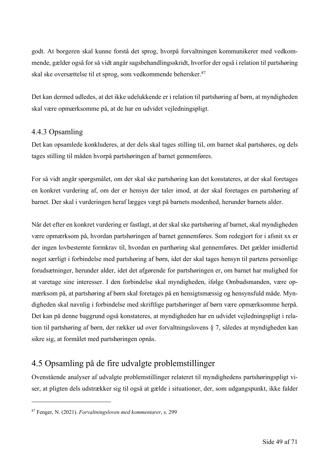godt. At borgeren skal kunne forstå det sprog, hvorpå forvaltningen kommunikerer med vedkommende, gælder også for så vidt angår sagsbehandlingsskridt, hvorfor der også i relation til partshøring skal ske oversættelse til et sprog, som vedkommende behersker.87

Det kan dermed udledes, at det ikke udelukkende er i relation til partshøring af børn, at myndigheden skal være opmærksomme på, at de har en udvidet vejledningspligt.

#### 4.4.3 Opsamling

Det kan opsamlede konkluderes, at der dels skal tages stilling til, om barnet skal partshøres, og dels tages stilling til måden hvorpå partshøringen af barnet gennemføres.

For så vidt angår spørgsmålet, om der skal ske partshøring kan det konstateres, at der skal foretages en konkret vurdering af, om der er hensyn der taler imod, at der skal foretages en partshøring af barnet. Der skal i vurderingen heraf lægges vægt på barnets modenhed, herunder barnets alder.

Når det efter en konkret vurdering er fastlagt, at der skal ske partshøring af barnet, skal myndigheden være opmærksom på, hvordan partshøringen af barnet gennemføres. Som redegjort for i afsnit xx er der ingen lovbestemte formkrav til, hvordan en parthøring skal gennemføres. Det gælder imidlertid noget særligt i forbindelse med partshøring af børn, idet der skal tages hensyn til partens personlige forudsætninger, herunder alder, idet det afgørende for partshøringen er, om barnet har mulighed for at varetage sine interesser. I den forbindelse skal myndigheden, ifølge Ombudsmanden, være opmærksom på, at partshøring af børn skal foretages på en hensigtsmæssig og hensynsfuld måde. Myndigheden skal navnlig i forbindelse med skriftlige partshøringer af børn være opmærksomme herpå. Det kan på denne baggrund også konstateres, at myndigheden har en udvidet vejledningspligt i relation til partshøring af børn, der rækker ud over forvaltningslovens § 7, således at myndigheden kan sikre sig, at formålet med partshøringen opnås.

## 4.5 Opsamling på de fire udvalgte problemstillinger

Ovenstående analyser af udvalgte problemstillinger relateret til myndighedens partshøringspligt viser, at pligten dels udstrækker sig til også at gælde i situationer, der, som udgangspunkt, ikke falder

<sup>87</sup> Fenger, N. (2021). *Forvaltningsloven med kommentarer*, s. 299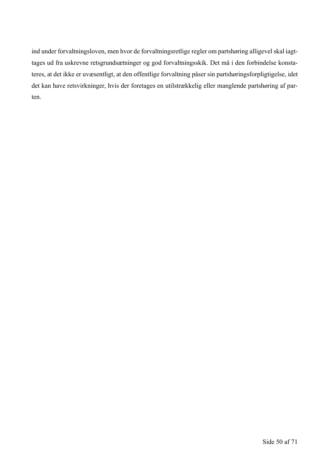ind under forvaltningsloven, men hvor de forvaltningsretlige regler om partshøring alligevel skal iagttages ud fra uskrevne retsgrundsætninger og god forvaltningsskik. Det må i den forbindelse konstateres, at det ikke er uvæsentligt, at den offentlige forvaltning påser sin partshøringsforpligtigelse, idet det kan have retsvirkninger, hvis der foretages en utilstrækkelig eller manglende partshøring af parten.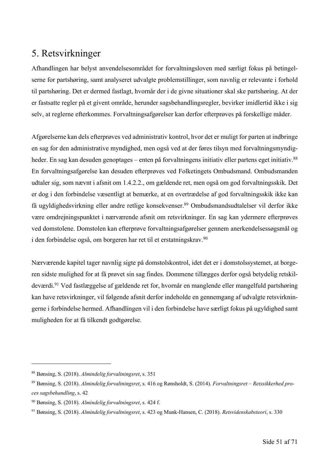## 5. Retsvirkninger

Afhandlingen har belyst anvendelsesområdet for forvaltningsloven med særligt fokus på betingelserne for partshøring, samt analyseret udvalgte problemstillinger, som navnlig er relevante i forhold til partshøring. Det er dermed fastlagt, hvornår der i de givne situationer skal ske partshøring. At der er fastsatte regler på et givent område, herunder sagsbehandlingsregler, bevirker imidlertid ikke i sig selv, at reglerne efterkommes. Forvaltningsafgørelser kan derfor efterprøves på forskellige måder.

Afgørelserne kan dels efterprøves ved administrativ kontrol, hvor det er muligt for parten at indbringe en sag for den administrative myndighed, men også ved at der føres tilsyn med forvaltningsmyndigheder. En sag kan desuden genoptages – enten på forvaltningens initiativ eller partens eget initiativ.<sup>88</sup> En forvaltningsafgørelse kan desuden efterprøves ved Folketingets Ombudsmand. Ombudsmanden udtaler sig, som nævnt i afsnit om 1.4.2.2., om gældende ret, men også om god forvaltningsskik. Det er dog i den forbindelse væsentligt at bemærke, at en overtrædelse af god forvaltningsskik ikke kan få ugyldighedsvirkning eller andre retlige konsekvenser.89 Ombudsmandsudtalelser vil derfor ikke være omdrejningspunktet i nærværende afsnit om retsvirkninger. En sag kan ydermere efterprøves ved domstolene. Domstolen kan efterprøve forvaltningsafgørelser gennem anerkendelsessøgsmål og i den forbindelse også, om borgeren har ret til et erstatningskrav.<sup>90</sup>

Nærværende kapitel tager navnlig sigte på domstolskontrol, idet det er i domstolssystemet, at borgeren sidste mulighed for at få prøvet sin sag findes. Dommene tillægges derfor også betydelig retskildeværdi.91 Ved fastlæggelse af gældende ret for, hvornår en manglende eller mangelfuld partshøring kan have retsvirkninger, vil følgende afsnit derfor indeholde en gennemgang af udvalgte retsvirkningerne i forbindelse hermed. Afhandlingen vil i den forbindelse have særligt fokus på ugyldighed samt muligheden for at få tilkendt godtgørelse.

<sup>88</sup> Bønsing, S. (2018). *Almindelig forvaltningsret*, s. 351

<sup>89</sup> Bønsing, S. (2018). *Almindelig forvaltningsret*, s. 416 og Rønsholdt, S. (2014). *Forvaltningsret – Retssikkerhed proces sagsbehandling*, s. 42

<sup>90</sup> Bønsing, S. (2018). *Almindelig forvaltningsret*, s. 424 f.

<sup>91</sup> Bønsing, S. (2018). *Almindelig forvaltningsret*, s. 423 og Munk-Hansen, C. (2018). *Retsvidenskabsteori*, s. 330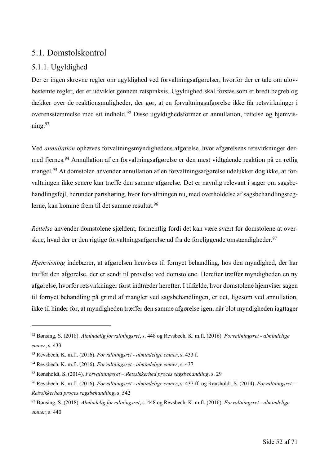## 5.1. Domstolskontrol

### 5.1.1. Ugyldighed

Der er ingen skrevne regler om ugyldighed ved forvaltningsafgørelser, hvorfor der er tale om ulovbestemte regler, der er udviklet gennem retspraksis. Ugyldighed skal forstås som et bredt begreb og dækker over de reaktionsmuligheder, der gør, at en forvaltningsafgørelse ikke får retsvirkninger i overensstemmelse med sit indhold.92 Disse ugyldighedsformer er annullation, rettelse og hjemvisning.93

Ved *annullation* ophæves forvaltningsmyndighedens afgørelse, hvor afgørelsens retsvirkninger dermed fjernes.94 Annullation af en forvaltningsafgørelse er den mest vidtgående reaktion på en retlig mangel.95 At domstolen anvender annullation af en forvaltningsafgørelse udelukker dog ikke, at forvaltningen ikke senere kan træffe den samme afgørelse. Det er navnlig relevant i sager om sagsbehandlingsfejl, herunder partshøring, hvor forvaltningen nu, med overholdelse af sagsbehandlingsreglerne, kan komme frem til det samme resultat.96

*Rettelse* anvender domstolene sjældent, formentlig fordi det kan være svært for domstolene at overskue, hvad der er den rigtige forvaltningsafgørelse ud fra de foreliggende omstændigheder.<sup>97</sup>

*Hjemvisning* indebærer, at afgørelsen henvises til fornyet behandling, hos den myndighed, der har truffet den afgørelse, der er sendt til prøvelse ved domstolene. Herefter træffer myndigheden en ny afgørelse, hvorfor retsvirkninger først indtræder herefter. I tilfælde, hvor domstolene hjemviser sagen til fornyet behandling på grund af mangler ved sagsbehandlingen, er det, ligesom ved annullation, ikke til hinder for, at myndigheden træffer den samme afgørelse igen, når blot myndigheden iagttager

<sup>92</sup> Bønsing, S. (2018). *Almindelig forvaltningsret*, s. 448 og Revsbech, K. m.fl. (2016). *Forvaltningsret - almindelige emner*, s. 433

<sup>93</sup> Revsbech, K. m.fl. (2016). *Forvaltningsret - almindelige emner*, s. 433 f.

<sup>94</sup> Revsbech, K. m.fl. (2016). *Forvaltningsret - almindelige emner*, s. 437

<sup>95</sup> Rønsholdt, S. (2014). *Forvaltningsret – Retssikkerhed proces sagsbehandling*, s. 29

<sup>96</sup> Revsbech, K. m.fl. (2016). *Forvaltningsret - almindelige emner*, s. 437 ff. og Rønsholdt, S. (2014). *Forvaltningsret – Retssikkerhed proces sagsbehandling*, s. 542

<sup>97</sup> Bønsing, S. (2018). *Almindelig forvaltningsret*, s. 448 og Revsbech, K. m.fl. (2016). *Forvaltningsret - almindelige emner*, s. 440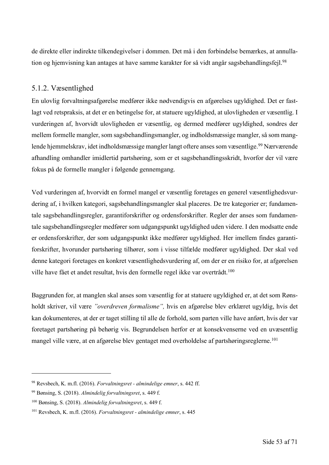de direkte eller indirekte tilkendegivelser i dommen. Det må i den forbindelse bemærkes, at annullation og hjemvisning kan antages at have samme karakter for så vidt angår sagsbehandlingsfejl.<sup>98</sup>

#### 5.1.2. Væsentlighed

En ulovlig forvaltningsafgørelse medfører ikke nødvendigvis en afgørelses ugyldighed. Det er fastlagt ved retspraksis, at det er en betingelse for, at statuere ugyldighed, at ulovligheden er væsentlig. I vurderingen af, hvorvidt ulovligheden er væsentlig, og dermed medfører ugyldighed, sondres der mellem formelle mangler, som sagsbehandlingsmangler, og indholdsmæssige mangler, så som manglende hjemmelskrav, idet indholdsmæssige mangler langt oftere anses som væsentlige.<sup>99</sup> Nærværende afhandling omhandler imidlertid partshøring, som er et sagsbehandlingsskridt, hvorfor der vil være fokus på de formelle mangler i følgende gennemgang.

Ved vurderingen af, hvorvidt en formel mangel er væsentlig foretages en generel væsentlighedsvurdering af, i hvilken kategori, sagsbehandlingsmangler skal placeres. De tre kategorier er; fundamentale sagsbehandlingsregler, garantiforskrifter og ordensforskrifter. Regler der anses som fundamentale sagsbehandlingsregler medfører som udgangspunkt ugyldighed uden videre. I den modsatte ende er ordensforskrifter, der som udgangspunkt ikke medfører ugyldighed. Her imellem findes garantiforskrifter, hvorunder partshøring tilhører, som i visse tilfælde medfører ugyldighed. Der skal ved denne kategori foretages en konkret væsentlighedsvurdering af, om der er en risiko for, at afgørelsen ville have fået et andet resultat, hvis den formelle regel ikke var overtrådt.<sup>100</sup>

Baggrunden for, at manglen skal anses som væsentlig for at statuere ugyldighed er, at det som Rønsholdt skriver, vil være *"overdreven formalisme",* hvis en afgørelse blev erklæret ugyldig, hvis det kan dokumenteres, at der er taget stilling til alle de forhold, som parten ville have anført, hvis der var foretaget partshøring på behørig vis. Begrundelsen herfor er at konsekvenserne ved en uvæsentlig mangel ville være, at en afgørelse blev gentaget med overholdelse af partshøringsreglerne.<sup>101</sup>

<sup>98</sup> Revsbech, K. m.fl. (2016). *Forvaltningsret - almindelige emner*, s. 442 ff.

<sup>99</sup> Bønsing, S. (2018). *Almindelig forvaltningsret*, s. 449 f.

<sup>100</sup> Bønsing, S. (2018). *Almindelig forvaltningsret*, s. 449 f.

<sup>101</sup> Revsbech, K. m.fl. (2016). *Forvaltningsret - almindelige emner*, s. 445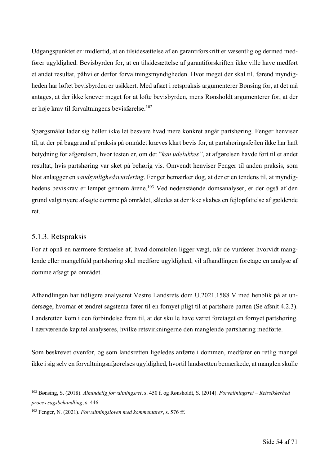Udgangspunktet er imidlertid, at en tilsidesættelse af en garantiforskrift er væsentlig og dermed medfører ugyldighed. Bevisbyrden for, at en tilsidesættelse af garantiforskriften ikke ville have medført et andet resultat, påhviler derfor forvaltningsmyndigheden. Hvor meget der skal til, førend myndigheden har løftet bevisbyrden er usikkert. Med afsæt i retspraksis argumenterer Bønsing for, at det må antages, at der ikke kræver meget for at løfte bevisbyrden, mens Rønsholdt argumenterer for, at der er høje krav til forvaltningens bevisførelse. 102

Spørgsmålet lader sig heller ikke let besvare hvad mere konkret angår partshøring. Fenger henviser til, at der på baggrund af praksis på området kræves klart bevis for, at partshøringsfejlen ikke har haft betydning for afgørelsen, hvor testen er, om det "*kan udelukkes"*, at afgørelsen havde ført til et andet resultat, hvis partshøring var sket på behørig vis. Omvendt henviser Fenger til anden praksis, som blot anlægger en *sandsynlighedsvurdering*. Fenger bemærker dog, at der er en tendens til, at myndighedens beviskrav er lempet gennem årene.<sup>103</sup> Ved nedenstående domsanalyser, er der også af den grund valgt nyere afsagte domme på området, således at der ikke skabes en fejlopfattelse af gældende ret.

#### 5.1.3. Retspraksis

For at opnå en nærmere forståelse af, hvad domstolen ligger vægt, når de vurderer hvorvidt manglende eller mangelfuld partshøring skal medføre ugyldighed, vil afhandlingen foretage en analyse af domme afsagt på området.

Afhandlingen har tidligere analyseret Vestre Landsrets dom U.2021.1588 V med henblik på at undersøge, hvornår et ændret sagstema fører til en fornyet pligt til at partshøre parten (Se afsnit 4.2.3). Landsretten kom i den forbindelse frem til, at der skulle have været foretaget en fornyet partshøring. I nærværende kapitel analyseres, hvilke retsvirkningerne den manglende partshøring medførte.

Som beskrevet ovenfor, og som landsretten ligeledes anførte i dommen, medfører en retlig mangel ikke i sig selv en forvaltningsafgørelses ugyldighed, hvortil landsretten bemærkede, at manglen skulle

<sup>102</sup> Bønsing, S. (2018). *Almindelig forvaltningsret*, s. 450 f. og Rønsholdt, S. (2014). *Forvaltningsret – Retssikkerhed proces sagsbehandling*, s. 446

<sup>103</sup> Fenger, N. (2021). *Forvaltningsloven med kommentarer*, s. 576 ff.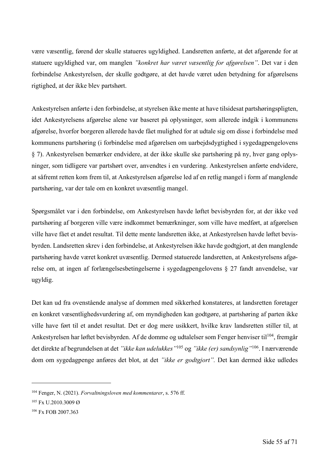være væsentlig, førend der skulle statueres ugyldighed. Landsretten anførte, at det afgørende for at statuere ugyldighed var, om manglen *"konkret har været væsentlig for afgørelsen"*. Det var i den forbindelse Ankestyrelsen, der skulle godtgøre, at det havde været uden betydning for afgørelsens rigtighed, at der ikke blev partshørt.

Ankestyrelsen anførte i den forbindelse, at styrelsen ikke mente at have tilsidesat partshøringspligten, idet Ankestyrelsens afgørelse alene var baseret på oplysninger, som allerede indgik i kommunens afgørelse, hvorfor borgeren allerede havde fået mulighed for at udtale sig om disse i forbindelse med kommunens partshøring (i forbindelse med afgørelsen om uarbejdsdygtighed i sygedagpengelovens § 7). Ankestyrelsen bemærker endvidere, at der ikke skulle ske partshøring på ny, hver gang oplysninger, som tidligere var partshørt over, anvendtes i en vurdering. Ankestyrelsen anførte endvidere, at såfremt retten kom frem til, at Ankestyrelsen afgørelse led af en retlig mangel i form af manglende partshøring, var der tale om en konkret uvæsentlig mangel.

Spørgsmålet var i den forbindelse, om Ankestyrelsen havde løftet bevisbyrden for, at der ikke ved partshøring af borgeren ville være indkommet bemærkninger, som ville have medført, at afgørelsen ville have fået et andet resultat. Til dette mente landsretten ikke, at Ankestyrelsen havde løftet bevisbyrden. Landsretten skrev i den forbindelse, at Ankestyrelsen ikke havde godtgjort, at den manglende partshøring havde været konkret uvæsentlig. Dermed statuerede landsretten, at Ankestyrelsens afgørelse om, at ingen af forlængelsesbetingelserne i sygedagpengelovens § 27 fandt anvendelse, var ugyldig.

Det kan ud fra ovenstående analyse af dommen med sikkerhed konstateres, at landsretten foretager en konkret væsentlighedsvurdering af, om myndigheden kan godtgøre, at partshøring af parten ikke ville have ført til et andet resultat. Det er dog mere usikkert, hvilke krav landsretten stiller til, at Ankestyrelsen har løftet bevisbyrden. Af de domme og udtalelser som Fenger henviser til<sup>104</sup>, fremgår det direkte af begrundelsen at det *"ikke kan udelukkes"*<sup>105</sup> og *"ikke (er) sandsynlig"*106. I nærværende dom om sygedagpenge anføres det blot, at det *"ikke er godtgjort".* Det kan dermed ikke udledes

<sup>104</sup> Fenger, N. (2021). *Forvaltningsloven med kommentarer*, s. 576 ff.

<sup>105</sup> Fx U.2010.3009 Ø

<sup>106</sup> Fx FOB 2007.363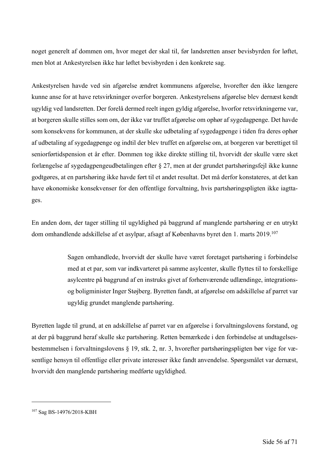noget generelt af dommen om, hvor meget der skal til, før landsretten anser bevisbyrden for løftet, men blot at Ankestyrelsen ikke har løftet bevisbyrden i den konkrete sag.

Ankestyrelsen havde ved sin afgørelse ændret kommunens afgørelse, hvorefter den ikke længere kunne anse for at have retsvirkninger overfor borgeren. Ankestyrelsens afgørelse blev dernæst kendt ugyldig ved landsretten. Der forelå dermed reelt ingen gyldig afgørelse, hvorfor retsvirkningerne var, at borgeren skulle stilles som om, der ikke var truffet afgørelse om ophør af sygedagpenge. Det havde som konsekvens for kommunen, at der skulle ske udbetaling af sygedagpenge i tiden fra deres ophør af udbetaling af sygedagpenge og indtil der blev truffet en afgørelse om, at borgeren var berettiget til seniorførtidspension et år efter. Dommen tog ikke direkte stilling til, hvorvidt der skulle være sket forlængelse af sygedagpengeudbetalingen efter § 27, men at der grundet partshøringsfejl ikke kunne godtgøres, at en partshøring ikke havde ført til et andet resultat. Det må derfor konstateres, at det kan have økonomiske konsekvenser for den offentlige forvaltning, hvis partshøringspligten ikke iagttages.

En anden dom, der tager stilling til ugyldighed på baggrund af manglende partshøring er en utrykt dom omhandlende adskillelse af et asylpar, afsagt af Københavns byret den 1. marts 2019.<sup>107</sup>

> Sagen omhandlede, hvorvidt der skulle have været foretaget partshøring i forbindelse med at et par, som var indkvarteret på samme asylcenter, skulle flyttes til to forskellige asylcentre på baggrund af en instruks givet af forhenværende udlændinge, integrationsog boligminister Inger Støjberg. Byretten fandt, at afgørelse om adskillelse af parret var ugyldig grundet manglende partshøring.

Byretten lagde til grund, at en adskillelse af parret var en afgørelse i forvaltningslovens forstand, og at der på baggrund heraf skulle ske partshøring. Retten bemærkede i den forbindelse at undtagelsesbestemmelsen i forvaltningslovens § 19, stk. 2, nr. 3, hvorefter partshøringspligten bør vige for væsentlige hensyn til offentlige eller private interesser ikke fandt anvendelse. Spørgsmålet var dernæst, hvorvidt den manglende partshøring medførte ugyldighed.

<sup>107</sup> Sag BS-14976/2018-KBH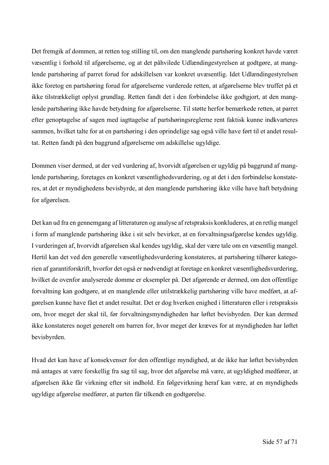Det fremgik af dommen, at retten tog stilling til, om den manglende partshøring konkret havde været væsentlig i forhold til afgørelserne, og at det påhvilede Udlændingestyrelsen at godtgøre, at manglende partshøring af parret forud for adskillelsen var konkret uvæsentlig. Idet Udlændingestyrelsen ikke foretog en partshøring forud for afgørelserne vurderede retten, at afgørelserne blev truffet på et ikke tilstrækkeligt oplyst grundlag. Retten fandt det i den forbindelse ikke godtgjort, at den manglende partshøring ikke havde betydning for afgørelserne. Til støtte herfor bemærkede retten, at parret efter genoptagelse af sagen med iagttagelse af partshøringsreglerne rent faktisk kunne indkvarteres sammen, hvilket talte for at en partshøring i den oprindelige sag også ville have ført til et andet resultat. Retten fandt på den baggrund afgørelserne om adskillelse ugyldige.

Dommen viser dermed, at der ved vurdering af, hvorvidt afgørelsen er ugyldig på baggrund af manglende partshøring, foretages en konkret væsentlighedsvurdering, og at det i den forbindelse konstateres, at det er myndighedens bevisbyrde, at den manglende partshøring ikke ville have haft betydning for afgørelsen.

Det kan ud fra en gennemgang af litteraturen og analyse af retspraksis konkluderes, at en retlig mangel i form af manglende partshøring ikke i sit selv bevirker, at en forvaltningsafgørelse kendes ugyldig. I vurderingen af, hvorvidt afgørelsen skal kendes ugyldig, skal der være tale om en væsentlig mangel. Hertil kan det ved den generelle væsentlighedsvurdering konstateres, at partshøring tilhører kategorien af garantiforskrift, hvorfor det også er nødvendigt at foretage en konkret væsentlighedsvurdering, hvilket de ovenfor analyserede domme er eksempler på. Det afgørende er dermed, om den offentlige forvaltning kan godtgøre, at en manglende eller utilstrækkelig partshøring ville have medført, at afgørelsen kunne have fået et andet resultat. Det er dog hverken enighed i litteraturen eller i retspraksis om, hvor meget der skal til, før forvaltningsmyndigheden har løftet bevisbyrden. Der kan dermed ikke konstateres noget generelt om barren for, hvor meget der kræves for at myndigheden har løftet bevisbyrden.

Hvad det kan have af konsekvenser for den offentlige myndighed, at de ikke har løftet bevisbyrden må antages at være forskellig fra sag til sag, hvor det afgørelse må være, at ugyldighed medfører, at afgørelsen ikke får virkning efter sit indhold. En følgevirkning heraf kan være, at en myndigheds ugyldige afgørelse medfører, at parten får tilkendt en godtgørelse.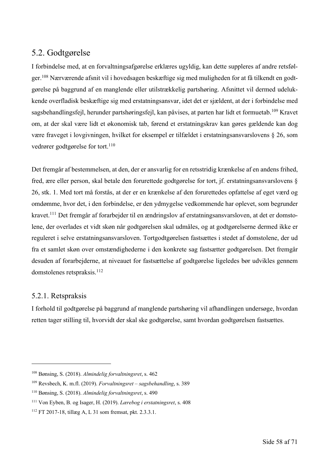### 5.2. Godtgørelse

I forbindelse med, at en forvaltningsafgørelse erklæres ugyldig, kan dette suppleres af andre retsfølger. <sup>108</sup> Nærværende afsnit vil i hovedsagen beskæftige sig med muligheden for at få tilkendt en godtgørelse på baggrund af en manglende eller utilstrækkelig partshøring. Afsnittet vil dermed udelukkende overfladisk beskæftige sig med erstatningsansvar, idet det er sjældent, at der i forbindelse med sagsbehandlingsfejl, herunder partshøringsfejl, kan påvises, at parten har lidt et formuetab.109 Kravet om, at der skal være lidt et økonomisk tab, førend et erstatningskrav kan gøres gældende kan dog være fraveget i lovgivningen, hvilket for eksempel er tilfældet i erstatningsansvarslovens § 26, som vedrører godtgørelse for tort.<sup>110</sup>

Det fremgår af bestemmelsen, at den, der er ansvarlig for en retsstridig krænkelse af en andens frihed, fred, ære eller person, skal betale den forurettede godtgørelse for tort, jf. erstatningsansvarslovens § 26, stk. 1. Med tort må forstås, at der er en krænkelse af den forurettedes opfattelse af eget værd og omdømme, hvor det, i den forbindelse, er den ydmygelse vedkommende har oplevet, som begrunder kravet.111 Det fremgår af forarbejder til en ændringslov af erstatningsansvarsloven, at det er domstolene, der overlades et vidt skøn når godtgørelsen skal udmåles, og at godtgørelserne dermed ikke er reguleret i selve erstatningsansvarsloven. Tortgodtgørelsen fastsættes i stedet af domstolene, der ud fra et samlet skøn over omstændighederne i den konkrete sag fastsætter godtgørelsen. Det fremgår desuden af forarbejderne, at niveauet for fastsættelse af godtgørelse ligeledes bør udvikles gennem domstolenes retspraksis.<sup>112</sup>

#### 5.2.1. Retspraksis

I forhold til godtgørelse på baggrund af manglende partshøring vil afhandlingen undersøge, hvordan retten tager stilling til, hvorvidt der skal ske godtgørelse, samt hvordan godtgørelsen fastsættes.

<sup>108</sup> Bønsing, S. (2018). *Almindelig forvaltningsret*, s. 462

<sup>109</sup> Revsbech, K. m.fl. (2019). *Forvaltningsret – sagsbehandling*, s. 389

<sup>110</sup> Bønsing, S. (2018). *Almindelig forvaltningsret*, s. 490

<sup>111</sup> Von Eyben, B. og Isager, H. (2019). *Lærebog i erstatningsret*, s. 408

<sup>112</sup> FT 2017-18, tillæg A, L 31 som fremsat, pkt. 2.3.3.1.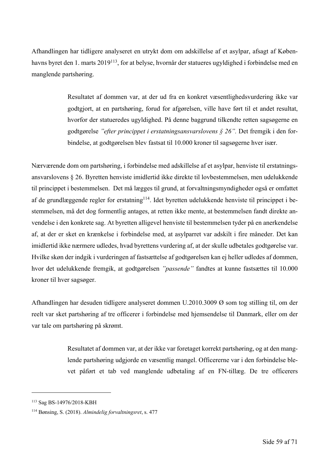Afhandlingen har tidligere analyseret en utrykt dom om adskillelse af et asylpar, afsagt af Københavns byret den 1. marts 2019113, for at belyse, hvornår der statueres ugyldighed i forbindelse med en manglende partshøring.

> Resultatet af dommen var, at der ud fra en konkret væsentlighedsvurdering ikke var godtgjort, at en partshøring, forud for afgørelsen, ville have ført til et andet resultat, hvorfor der statueredes ugyldighed. På denne baggrund tilkendte retten sagsøgerne en godtgørelse *"efter princippet i erstatningsansvarslovens § 26".* Det fremgik i den forbindelse, at godtgørelsen blev fastsat til 10.000 kroner til sagsøgerne hver især.

Nærværende dom om partshøring, i forbindelse med adskillelse af et asylpar, henviste til erstatningsansvarslovens § 26. Byretten henviste imidlertid ikke direkte til lovbestemmelsen, men udelukkende til princippet i bestemmelsen. Det må lægges til grund, at forvaltningsmyndigheder også er omfattet af de grundlæggende regler for erstatning<sup>114</sup>. Idet byretten udelukkende henviste til princippet i bestemmelsen, må det dog formentlig antages, at retten ikke mente, at bestemmelsen fandt direkte anvendelse i den konkrete sag. At byretten alligevel henviste til bestemmelsen tyder på en anerkendelse af, at der er sket en krænkelse i forbindelse med, at asylparret var adskilt i fire måneder. Det kan imidlertid ikke nærmere udledes, hvad byrettens vurdering af, at der skulle udbetales godtgørelse var. Hvilke skøn der indgik i vurderingen af fastsættelse af godtgørelsen kan ej heller udledes af dommen, hvor det udelukkende fremgik, at godtgørelsen *"passende"* fandtes at kunne fastsættes til 10.000 kroner til hver sagsøger.

Afhandlingen har desuden tidligere analyseret dommen U.2010.3009 Ø som tog stilling til, om der reelt var sket partshøring af tre officerer i forbindelse med hjemsendelse til Danmark, eller om der var tale om partshøring på skrømt.

> Resultatet af dommen var, at der ikke var foretaget korrekt partshøring, og at den manglende partshøring udgjorde en væsentlig mangel. Officererne var i den forbindelse blevet påført et tab ved manglende udbetaling af en FN-tillæg. De tre officerers

<sup>113</sup> Sag BS-14976/2018-KBH

<sup>114</sup> Bønsing, S. (2018). *Almindelig forvaltningsret*, s. 477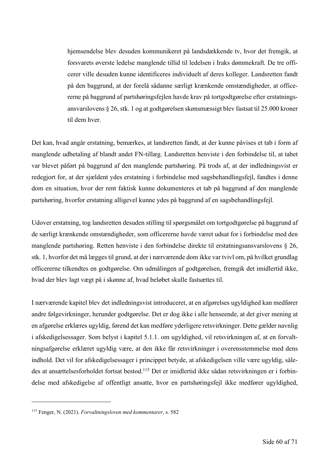hjemsendelse blev desuden kommunikeret på landsdækkende tv, hvor det fremgik, at forsvarets øverste ledelse manglende tillid til ledelsen i Iraks dømmekraft. De tre officerer ville desuden kunne identificeres individuelt af deres kolleger. Landsretten fandt på den baggrund, at der forelå sådanne særligt krænkende omstændigheder, at officererne på baggrund af partshøringsfejlen havde krav på tortgodtgørelse efter erstatningsansvarslovens § 26, stk. 1 og at godtgørelsen skønsmæssigt blev fastsat til 25.000 kroner til dem hver.

Det kan, hvad angår erstatning, bemærkes, at landsretten fandt, at der kunne påvises et tab i form af manglende udbetaling af blandt andet FN-tillæg. Landsretten henviste i den forbindelse til, at tabet var blevet påført på baggrund af den manglende partshøring. På trods af, at der indledningsvist er redegjort for, at der sjældent ydes erstatning i forbindelse med sagsbehandlingsfejl, fandtes i denne dom en situation, hvor der rent faktisk kunne dokumenteres et tab på baggrund af den manglende partshøring, hvorfor erstatning alligevel kunne ydes på baggrund af en sagsbehandlingsfejl.

Udover erstatning, tog landsretten desuden stilling til spørgsmålet om tortgodtgørelse på baggrund af de særligt krænkende omstændigheder, som officererne havde været udsat for i forbindelse med den manglende partshøring. Retten henviste i den forbindelse direkte til erstatningsansvarslovens § 26, stk. 1, hvorfor det må lægges til grund, at der i nærværende dom ikke var tvivl om, på hvilket grundlag officererne tilkendtes en godtgørelse. Om udmålingen af godtgørelsen, fremgik det imidlertid ikke, hvad der blev lagt vægt på i skønne af, hvad beløbet skulle fastsættes til.

I nærværende kapitel blev det indledningsvist introduceret, at en afgørelses ugyldighed kan medfører andre følgevirkninger, herunder godtgørelse. Det er dog ikke i alle henseende, at det giver mening at en afgørelse erklæres ugyldig, førend det kan medføre yderligere retsvirkninger. Dette gælder navnlig i afskedigelsessager. Som belyst i kapitel 5.1.1. om ugyldighed, vil retsvirkningen af, at en forvaltningsafgørelse erklæret ugyldig være, at den ikke får retsvirkninger i overensstemmelse med dens indhold. Det vil for afskedigelsessager i princippet betyde, at afskedigelsen ville være ugyldig, således at ansættelsesforholdet fortsat bestod. <sup>115</sup> Det er imidlertid ikke sådan retsvirkningen er i forbindelse med afskedigelse af offentligt ansatte, hvor en partshøringsfejl ikke medfører ugyldighed,

<sup>115</sup> Fenger, N. (2021). *Forvaltningsloven med kommentarer*, s. 582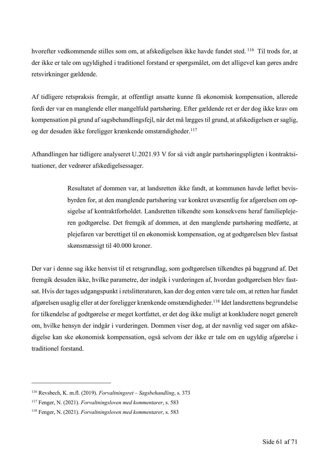hvorefter vedkommende stilles som om, at afskedigelsen ikke havde fundet sted. <sup>116</sup> Til trods for, at der ikke er tale om ugyldighed i traditionel forstand er spørgsmålet, om det alligevel kan gøres andre retsvirkninger gældende.

Af tidligere retspraksis fremgår, at offentligt ansatte kunne få økonomisk kompensation, allerede fordi der var en manglende eller mangelfuld partshøring. Efter gældende ret er der dog ikke krav om kompensation på grund af sagsbehandlingsfejl, når det må lægges til grund, at afskedigelsen er saglig, og der desuden ikke foreligger krænkende omstændigheder.117

Afhandlingen har tidligere analyseret U.2021.93 V for så vidt angår partshøringspligten i kontraktsituationer, der vedrører afskedigelsessager.

> Resultatet af dommen var, at landsretten ikke fandt, at kommunen havde løftet bevisbyrden for, at den manglende partshøring var konkret uvæsentlig for afgørelsen om opsigelse af kontraktforholdet. Landsretten tilkendte som konsekvens heraf familieplejeren godtgørelse. Det fremgik af dommen, at den manglende partshøring medførte, at plejefaren var berettiget til en økonomisk kompensation, og at godtgørelsen blev fastsat skønsmæssigt til 40.000 kroner.

Der var i denne sag ikke henvist til et retsgrundlag, som godtgørelsen tilkendtes på baggrund af. Det fremgik desuden ikke, hvilke parametre, der indgik i vurderingen af, hvordan godtgørelsen blev fastsat. Hvis der tages udgangspunkt i retslitteraturen, kan der dog enten være tale om, at retten har fundet afgørelsen usaglig eller at der foreligger krænkende omstændigheder.<sup>118</sup> Idet landsrettens begrundelse for tilkendelse af godtgørelse er meget kortfattet, er det dog ikke muligt at konkludere noget generelt om, hvilke hensyn der indgår i vurderingen. Dommen viser dog, at der navnlig ved sager om afskedigelse kan ske økonomisk kompensation, også selvom der ikke er tale om en ugyldig afgørelse i traditionel forstand.

<sup>116</sup> Revsbech, K. m.fl. (2019). *Forvaltningsret – Sagsbehandling*, s. 373

<sup>117</sup> Fenger, N. (2021). *Forvaltningsloven med kommentarer*, s. 583

<sup>118</sup> Fenger, N. (2021). *Forvaltningsloven med kommentarer*, s. 583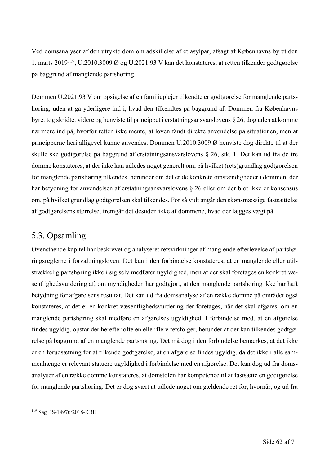Ved domsanalyser af den utrykte dom om adskillelse af et asylpar, afsagt af Københavns byret den 1. marts 2019119, U.2010.3009 Ø og U.2021.93 V kan det konstateres, at retten tilkender godtgørelse på baggrund af manglende partshøring.

Dommen U.2021.93 V om opsigelse af en familieplejer tilkendte er godtgørelse for manglende partshøring, uden at gå yderligere ind i, hvad den tilkendtes på baggrund af. Dommen fra Københavns byret tog skridtet videre og henviste til princippet i erstatningsansvarslovens § 26, dog uden at komme nærmere ind på, hvorfor retten ikke mente, at loven fandt direkte anvendelse på situationen, men at principperne heri alligevel kunne anvendes. Dommen U.2010.3009 Ø henviste dog direkte til at der skulle ske godtgørelse på baggrund af erstatningsansvarslovens § 26, stk. 1. Det kan ud fra de tre domme konstateres, at der ikke kan udledes noget generelt om, på hvilket (rets)grundlag godtgørelsen for manglende partshøring tilkendes, herunder om det er de konkrete omstændigheder i dommen, der har betydning for anvendelsen af erstatningsansvarslovens § 26 eller om der blot ikke er konsensus om, på hvilket grundlag godtgørelsen skal tilkendes. For så vidt angår den skønsmæssige fastsættelse af godtgørelsens størrelse, fremgår det desuden ikke af dommene, hvad der lægges vægt på.

## 5.3. Opsamling

Ovenstående kapitel har beskrevet og analyseret retsvirkninger af manglende efterlevelse af partshøringsreglerne i forvaltningsloven. Det kan i den forbindelse konstateres, at en manglende eller utilstrækkelig partshøring ikke i sig selv medfører ugyldighed, men at der skal foretages en konkret væsentlighedsvurdering af, om myndigheden har godtgjort, at den manglende partshøring ikke har haft betydning for afgørelsens resultat. Det kan ud fra domsanalyse af en række domme på området også konstateres, at det er en konkret væsentlighedsvurdering der foretages, når det skal afgøres, om en manglende partshøring skal medføre en afgørelses ugyldighed. I forbindelse med, at en afgørelse findes ugyldig, opstår der herefter ofte en eller flere retsfølger, herunder at der kan tilkendes godtgørelse på baggrund af en manglende partshøring. Det må dog i den forbindelse bemærkes, at det ikke er en forudsætning for at tilkende godtgørelse, at en afgørelse findes ugyldig, da det ikke i alle sammenhænge er relevant statuere ugyldighed i forbindelse med en afgørelse. Det kan dog ud fra domsanalyser af en række domme konstateres, at domstolen har kompetence til at fastsætte en godtgørelse for manglende partshøring. Det er dog svært at udlede noget om gældende ret for, hvornår, og ud fra

<sup>119</sup> Sag BS-14976/2018-KBH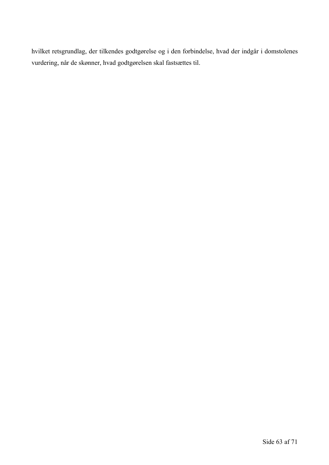hvilket retsgrundlag, der tilkendes godtgørelse og i den forbindelse, hvad der indgår i domstolenes vurdering, når de skønner, hvad godtgørelsen skal fastsættes til.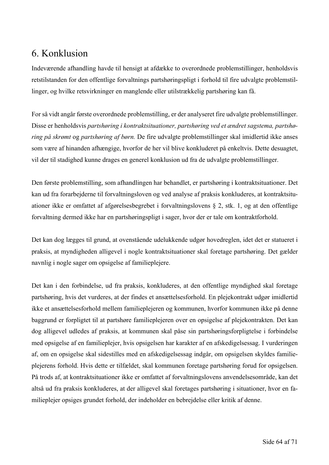## 6. Konklusion

Indeværende afhandling havde til hensigt at afdække to overordnede problemstillinger, henholdsvis retstilstanden for den offentlige forvaltnings partshøringspligt i forhold til fire udvalgte problemstillinger, og hvilke retsvirkninger en manglende eller utilstrækkelig partshøring kan få.

For så vidt angår første overordnede problemstilling, er der analyseret fire udvalgte problemstillinger. Disse er henholdsvis *partshøring i kontraktsituationer, partshøring ved et ændret sagstema, partshøring på skrømt* og *partshøring af børn.* De fire udvalgte problemstillinger skal imidlertid ikke anses som være af hinanden afhængige, hvorfor de her vil blive konkluderet på enkeltvis. Dette desuagtet, vil der til stadighed kunne drages en generel konklusion ud fra de udvalgte problemstillinger.

Den første problemstilling, som afhandlingen har behandlet, er partshøring i kontraktsituationer. Det kan ud fra forarbejderne til forvaltningsloven og ved analyse af praksis konkluderes, at kontraktsituationer ikke er omfattet af afgørelsesbegrebet i forvaltningslovens § 2, stk. 1, og at den offentlige forvaltning dermed ikke har en partshøringspligt i sager, hvor der er tale om kontraktforhold.

Det kan dog lægges til grund, at ovenstående udelukkende udgør hovedreglen, idet det er statueret i praksis, at myndigheden alligevel i nogle kontraktsituationer skal foretage partshøring. Det gælder navnlig i nogle sager om opsigelse af familieplejere.

Det kan i den forbindelse, ud fra praksis, konkluderes, at den offentlige myndighed skal foretage partshøring, hvis det vurderes, at der findes et ansættelsesforhold. En plejekontrakt udgør imidlertid ikke et ansættelsesforhold mellem familieplejeren og kommunen, hvorfor kommunen ikke på denne baggrund er forpligtet til at partshøre familieplejeren over en opsigelse af plejekontrakten. Det kan dog alligevel udledes af praksis, at kommunen skal påse sin partshøringsforpligtelse i forbindelse med opsigelse af en familieplejer, hvis opsigelsen har karakter af en afskedigelsessag. I vurderingen af, om en opsigelse skal sidestilles med en afskedigelsessag indgår, om opsigelsen skyldes familieplejerens forhold. Hvis dette er tilfældet, skal kommunen foretage partshøring forud for opsigelsen. På trods af, at kontraktsituationer ikke er omfattet af forvaltningslovens anvendelsesområde, kan det altså ud fra praksis konkluderes, at der alligevel skal foretages partshøring i situationer, hvor en familieplejer opsiges grundet forhold, der indeholder en bebrejdelse eller kritik af denne.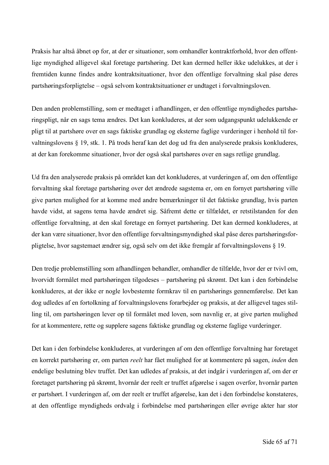Praksis har altså åbnet op for, at der er situationer, som omhandler kontraktforhold, hvor den offentlige myndighed alligevel skal foretage partshøring. Det kan dermed heller ikke udelukkes, at der i fremtiden kunne findes andre kontraktsituationer, hvor den offentlige forvaltning skal påse deres partshøringsforpligtelse – også selvom kontraktsituationer er undtaget i forvaltningsloven.

Den anden problemstilling, som er medtaget i afhandlingen, er den offentlige myndighedes partshøringspligt, når en sags tema ændres. Det kan konkluderes, at der som udgangspunkt udelukkende er pligt til at partshøre over en sags faktiske grundlag og eksterne faglige vurderinger i henhold til forvaltningslovens § 19, stk. 1. På trods heraf kan det dog ud fra den analyserede praksis konkluderes, at der kan forekomme situationer, hvor der også skal partshøres over en sags retlige grundlag.

Ud fra den analyserede praksis på området kan det konkluderes, at vurderingen af, om den offentlige forvaltning skal foretage partshøring over det ændrede sagstema er, om en fornyet partshøring ville give parten mulighed for at komme med andre bemærkninger til det faktiske grundlag, hvis parten havde vidst, at sagens tema havde ændret sig. Såfremt dette er tilfældet, er retstilstanden for den offentlige forvaltning, at den skal foretage en fornyet partshøring. Det kan dermed konkluderes, at der kan være situationer, hvor den offentlige forvaltningsmyndighed skal påse deres partshøringsforpligtelse, hvor sagstemaet ændrer sig, også selv om det ikke fremgår af forvaltningslovens § 19.

Den tredje problemstilling som afhandlingen behandler, omhandler de tilfælde, hvor der er tvivl om, hvorvidt formålet med partshøringen tilgodeses – partshøring på skrømt. Det kan i den forbindelse konkluderes, at der ikke er nogle lovbestemte formkrav til en partshørings gennemførelse. Det kan dog udledes af en fortolkning af forvaltningslovens forarbejder og praksis, at der alligevel tages stilling til, om partshøringen lever op til formålet med loven, som navnlig er, at give parten mulighed for at kommentere, rette og supplere sagens faktiske grundlag og eksterne faglige vurderinger.

Det kan i den forbindelse konkluderes, at vurderingen af om den offentlige forvaltning har foretaget en korrekt partshøring er, om parten *reelt* har fået mulighed for at kommentere på sagen, *inden* den endelige beslutning blev truffet. Det kan udledes af praksis, at det indgår i vurderingen af, om der er foretaget partshøring på skrømt, hvornår der reelt er truffet afgørelse i sagen overfor, hvornår parten er partshørt. I vurderingen af, om der reelt er truffet afgørelse, kan det i den forbindelse konstateres, at den offentlige myndigheds ordvalg i forbindelse med partshøringen eller øvrige akter har stor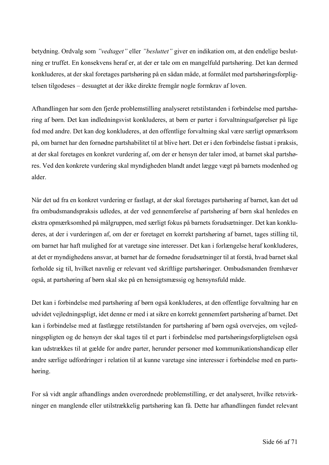betydning. Ordvalg som *"vedtaget"* eller *"besluttet"* giver en indikation om, at den endelige beslutning er truffet. En konsekvens heraf er, at der er tale om en mangelfuld partshøring. Det kan dermed konkluderes, at der skal foretages partshøring på en sådan måde, at formålet med partshøringsforpligtelsen tilgodeses – desuagtet at der ikke direkte fremgår nogle formkrav af loven.

Afhandlingen har som den fjerde problemstilling analyseret retstilstanden i forbindelse med partshøring af børn. Det kan indledningsvist konkluderes, at børn er parter i forvaltningsafgørelser på lige fod med andre. Det kan dog konkluderes, at den offentlige forvaltning skal være særligt opmærksom på, om barnet har den fornødne partshabilitet til at blive hørt. Det er i den forbindelse fastsat i praksis, at der skal foretages en konkret vurdering af, om der er hensyn der taler imod, at barnet skal partshøres. Ved den konkrete vurdering skal myndigheden blandt andet lægge vægt på barnets modenhed og alder.

Når det ud fra en konkret vurdering er fastlagt, at der skal foretages partshøring af barnet, kan det ud fra ombudsmandspraksis udledes, at der ved gennemførelse af partshøring af børn skal henledes en ekstra opmærksomhed på målgruppen, med særligt fokus på barnets forudsætninger. Det kan konkluderes, at der i vurderingen af, om der er foretaget en korrekt partshøring af barnet, tages stilling til, om barnet har haft mulighed for at varetage sine interesser. Det kan i forlængelse heraf konkluderes, at det er myndighedens ansvar, at barnet har de fornødne forudsætninger til at forstå, hvad barnet skal forholde sig til, hvilket navnlig er relevant ved skriftlige partshøringer. Ombudsmanden fremhæver også, at partshøring af børn skal ske på en hensigtsmæssig og hensynsfuld måde.

Det kan i forbindelse med partshøring af børn også konkluderes, at den offentlige forvaltning har en udvidet vejledningspligt, idet denne er med i at sikre en korrekt gennemført partshøring af barnet. Det kan i forbindelse med at fastlægge retstilstanden for partshøring af børn også overvejes, om vejledningspligten og de hensyn der skal tages til et part i forbindelse med partshøringsforpligtelsen også kan udstrækkes til at gælde for andre parter, herunder personer med kommunikationshandicap eller andre særlige udfordringer i relation til at kunne varetage sine interesser i forbindelse med en partshøring.

For så vidt angår afhandlings anden overordnede problemstilling, er det analyseret, hvilke retsvirkninger en manglende eller utilstrækkelig partshøring kan få. Dette har afhandlingen fundet relevant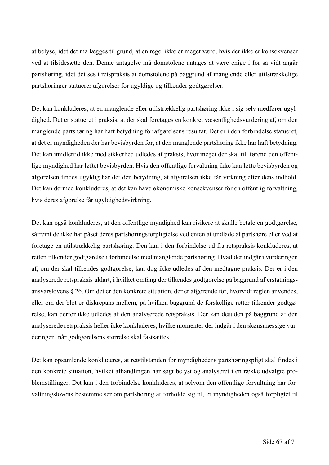at belyse, idet det må lægges til grund, at en regel ikke er meget værd, hvis der ikke er konsekvenser ved at tilsidesætte den. Denne antagelse må domstolene antages at være enige i for så vidt angår partshøring, idet det ses i retspraksis at domstolene på baggrund af manglende eller utilstrækkelige partshøringer statuerer afgørelser for ugyldige og tilkender godtgørelser.

Det kan konkluderes, at en manglende eller utilstrækkelig partshøring ikke i sig selv medfører ugyldighed. Det er statueret i praksis, at der skal foretages en konkret væsentlighedsvurdering af, om den manglende partshøring har haft betydning for afgørelsens resultat. Det er i den forbindelse statueret, at det er myndigheden der har bevisbyrden for, at den manglende partshøring ikke har haft betydning. Det kan imidlertid ikke med sikkerhed udledes af praksis, hvor meget der skal til, førend den offentlige myndighed har løftet bevisbyrden. Hvis den offentlige forvaltning ikke kan løfte bevisbyrden og afgørelsen findes ugyldig har det den betydning, at afgørelsen ikke får virkning efter dens indhold. Det kan dermed konkluderes, at det kan have økonomiske konsekvenser for en offentlig forvaltning, hvis deres afgørelse får ugyldighedsvirkning.

Det kan også konkluderes, at den offentlige myndighed kan risikere at skulle betale en godtgørelse, såfremt de ikke har påset deres partshøringsforpligtelse ved enten at undlade at partshøre eller ved at foretage en utilstrækkelig partshøring. Den kan i den forbindelse ud fra retspraksis konkluderes, at retten tilkender godtgørelse i forbindelse med manglende partshøring. Hvad der indgår i vurderingen af, om der skal tilkendes godtgørelse, kan dog ikke udledes af den medtagne praksis. Der er i den analyserede retspraksis uklart, i hvilket omfang der tilkendes godtgørelse på baggrund af erstatningsansvarslovens § 26. Om det er den konkrete situation, der er afgørende for, hvorvidt reglen anvendes, eller om der blot er diskrepans mellem, på hvilken baggrund de forskellige retter tilkender godtgørelse, kan derfor ikke udledes af den analyserede retspraksis. Der kan desuden på baggrund af den analyserede retspraksis heller ikke konkluderes, hvilke momenter der indgår i den skønsmæssige vurderingen, når godtgørelsens størrelse skal fastsættes.

Det kan opsamlende konkluderes, at retstilstanden for myndighedens partshøringspligt skal findes i den konkrete situation, hvilket afhandlingen har søgt belyst og analyseret i en række udvalgte problemstillinger. Det kan i den forbindelse konkluderes, at selvom den offentlige forvaltning har forvaltningslovens bestemmelser om partshøring at forholde sig til, er myndigheden også forpligtet til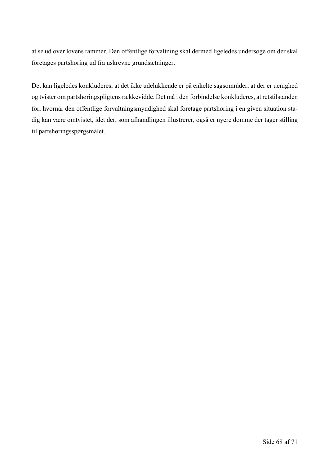at se ud over lovens rammer. Den offentlige forvaltning skal dermed ligeledes undersøge om der skal foretages partshøring ud fra uskrevne grundsætninger.

Det kan ligeledes konkluderes, at det ikke udelukkende er på enkelte sagsområder, at der er uenighed og tvister om partshøringspligtens rækkevidde. Det må i den forbindelse konkluderes, at retstilstanden for, hvornår den offentlige forvaltningsmyndighed skal foretage partshøring i en given situation stadig kan være omtvistet, idet der, som afhandlingen illustrerer, også er nyere domme der tager stilling til partshøringsspørgsmålet.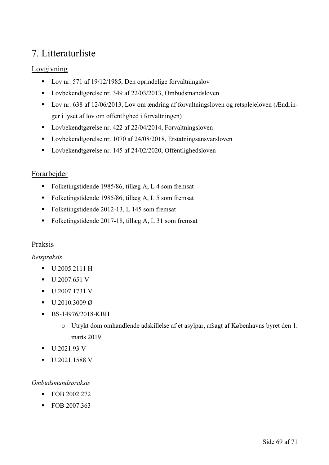## 7. Litteraturliste

#### Lovgivning

- Lov nr. 571 af 19/12/1985, Den oprindelige forvaltningslov
- Lovbekendtgørelse nr. 349 af 22/03/2013, Ombudsmandsloven
- Lov nr. 638 af 12/06/2013, Lov om ændring af forvaltningsloven og retsplejeloven (Ændringer i lyset af lov om offentlighed i forvaltningen)
- Lovbekendtgørelse nr. 422 af 22/04/2014, Forvaltningsloven
- Lovbekendtgørelse nr. 1070 af 24/08/2018, Erstatningsansvarsloven
- Lovbekendtgørelse nr. 145 af 24/02/2020, Offentlighedsloven

#### Forarbejder

- Folketingstidende 1985/86, tillæg A, L 4 som fremsat
- Folketingstidende 1985/86, tillæg A, L 5 som fremsat
- § Folketingstidende 2012-13, L 145 som fremsat
- Folketingstidende 2017-18, tillæg A, L 31 som fremsat

#### Praksis

#### *Retspraksis*

- § U.2005.2111 H
- § U.2007.651 V
- § U.2007.1731 V
- $\bullet$  U.2010.3009 Ø
- § BS-14976/2018-KBH
	- o Utrykt dom omhandlende adskillelse af et asylpar, afsagt af Københavns byret den 1. marts 2019
- **U.2021.93 V**
- § U.2021.1588 V

#### *Ombudsmandspraksis*

- FOB 2002.272
- FOB 2007.363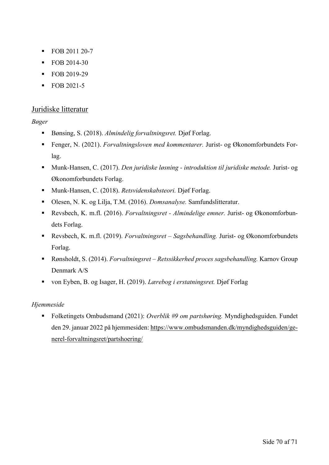- § FOB 2011 20-7
- FOB 2014-30
- FOB 2019-29
- § FOB 2021-5

#### Juridiske litteratur

#### *Bøger*

- Bønsing, S. (2018). *Almindelig forvaltningsret*. Djøf Forlag.
- § Fenger, N. (2021). *Forvaltningsloven med kommentarer.* Jurist- og Økonomforbundets Forlag.
- § Munk-Hansen, C. (2017). *Den juridiske løsning - introduktion til juridiske metode.* Jurist- og Økonomforbundets Forlag.
- Munk-Hansen, C. (2018). *Retsvidenskabsteori*. Djøf Forlag.
- Olesen, N. K. og Lilja, T.M. (2016). *Domsanalyse*. Samfundslitteratur.
- Revsbech, K. m.fl. (2016). *Forvaltningsret Almindelige emner*. Jurist- og Økonomforbundets Forlag.
- Revsbech, K. m.fl. (2019). *Forvaltningsret Sagsbehandling*. Jurist- og Økonomforbundets Forlag.
- § Rønsholdt, S. (2014). *Forvaltningsret – Retssikkerhed proces sagsbehandling.* Karnov Group Denmark A/S
- von Eyben, B. og Isager, H. (2019). *Lærebog i erstatningsret*. Djøf Forlag

#### *Hjemmeside*

§ Folketingets Ombudsmand (2021): *Overblik #9 om partshøring.* Myndighedsguiden. Fundet den 29. januar 2022 på hjemmesiden: https://www.ombudsmanden.dk/myndighedsguiden/generel-forvaltningsret/partshoering/